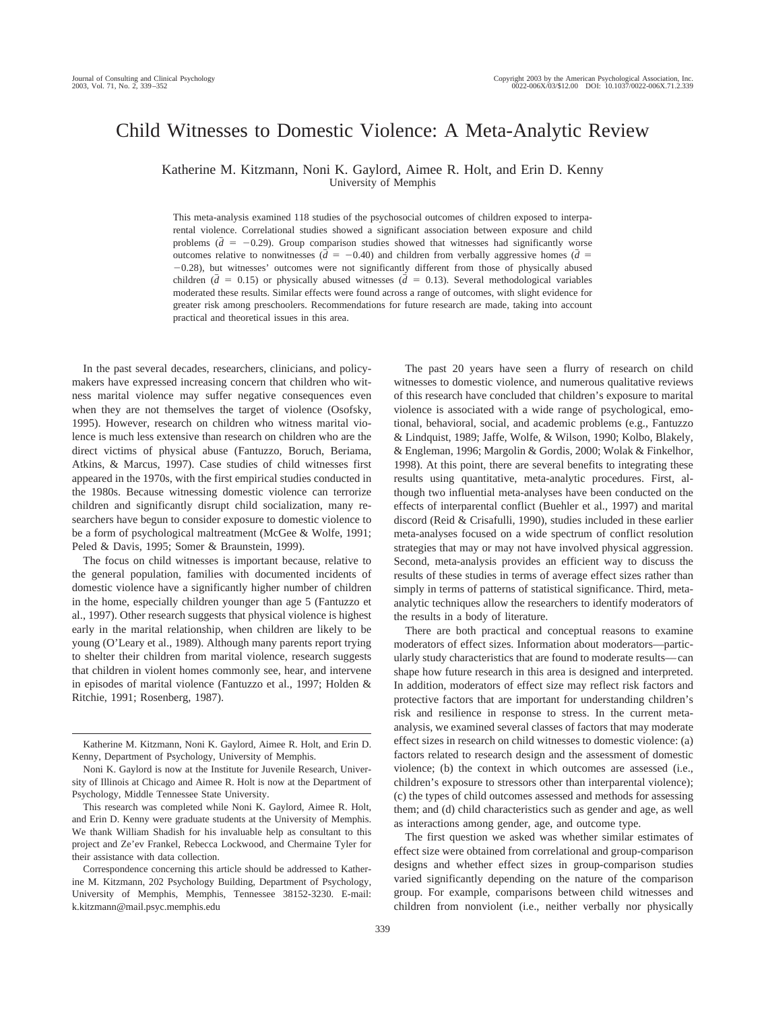# Child Witnesses to Domestic Violence: A Meta-Analytic Review

Katherine M. Kitzmann, Noni K. Gaylord, Aimee R. Holt, and Erin D. Kenny University of Memphis

This meta-analysis examined 118 studies of the psychosocial outcomes of children exposed to interparental violence. Correlational studies showed a significant association between exposure and child problems  $(\bar{d} = -0.29)$ . Group comparison studies showed that witnesses had significantly worse outcomes relative to nonwitnesses  $(\bar{d} = -0.40)$  and children from verbally aggressive homes  $(\bar{d} =$ -0.28), but witnesses' outcomes were not significantly different from those of physically abused children ( $\overline{d}$  = 0.15) or physically abused witnesses ( $\overline{d}$  = 0.13). Several methodological variables moderated these results. Similar effects were found across a range of outcomes, with slight evidence for greater risk among preschoolers. Recommendations for future research are made, taking into account practical and theoretical issues in this area.

In the past several decades, researchers, clinicians, and policymakers have expressed increasing concern that children who witness marital violence may suffer negative consequences even when they are not themselves the target of violence (Osofsky, 1995). However, research on children who witness marital violence is much less extensive than research on children who are the direct victims of physical abuse (Fantuzzo, Boruch, Beriama, Atkins, & Marcus, 1997). Case studies of child witnesses first appeared in the 1970s, with the first empirical studies conducted in the 1980s. Because witnessing domestic violence can terrorize children and significantly disrupt child socialization, many researchers have begun to consider exposure to domestic violence to be a form of psychological maltreatment (McGee & Wolfe, 1991; Peled & Davis, 1995; Somer & Braunstein, 1999).

The focus on child witnesses is important because, relative to the general population, families with documented incidents of domestic violence have a significantly higher number of children in the home, especially children younger than age 5 (Fantuzzo et al., 1997). Other research suggests that physical violence is highest early in the marital relationship, when children are likely to be young (O'Leary et al., 1989). Although many parents report trying to shelter their children from marital violence, research suggests that children in violent homes commonly see, hear, and intervene in episodes of marital violence (Fantuzzo et al., 1997; Holden & Ritchie, 1991; Rosenberg, 1987).

The past 20 years have seen a flurry of research on child witnesses to domestic violence, and numerous qualitative reviews of this research have concluded that children's exposure to marital violence is associated with a wide range of psychological, emotional, behavioral, social, and academic problems (e.g., Fantuzzo & Lindquist, 1989; Jaffe, Wolfe, & Wilson, 1990; Kolbo, Blakely, & Engleman, 1996; Margolin & Gordis, 2000; Wolak & Finkelhor, 1998). At this point, there are several benefits to integrating these results using quantitative, meta-analytic procedures. First, although two influential meta-analyses have been conducted on the effects of interparental conflict (Buehler et al., 1997) and marital discord (Reid & Crisafulli, 1990), studies included in these earlier meta-analyses focused on a wide spectrum of conflict resolution strategies that may or may not have involved physical aggression. Second, meta-analysis provides an efficient way to discuss the results of these studies in terms of average effect sizes rather than simply in terms of patterns of statistical significance. Third, metaanalytic techniques allow the researchers to identify moderators of the results in a body of literature.

There are both practical and conceptual reasons to examine moderators of effect sizes. Information about moderators—particularly study characteristics that are found to moderate results—can shape how future research in this area is designed and interpreted. In addition, moderators of effect size may reflect risk factors and protective factors that are important for understanding children's risk and resilience in response to stress. In the current metaanalysis, we examined several classes of factors that may moderate effect sizes in research on child witnesses to domestic violence: (a) factors related to research design and the assessment of domestic violence; (b) the context in which outcomes are assessed (i.e., children's exposure to stressors other than interparental violence); (c) the types of child outcomes assessed and methods for assessing them; and (d) child characteristics such as gender and age, as well as interactions among gender, age, and outcome type.

The first question we asked was whether similar estimates of effect size were obtained from correlational and group-comparison designs and whether effect sizes in group-comparison studies varied significantly depending on the nature of the comparison group. For example, comparisons between child witnesses and children from nonviolent (i.e., neither verbally nor physically

Katherine M. Kitzmann, Noni K. Gaylord, Aimee R. Holt, and Erin D. Kenny, Department of Psychology, University of Memphis.

Noni K. Gaylord is now at the Institute for Juvenile Research, University of Illinois at Chicago and Aimee R. Holt is now at the Department of Psychology, Middle Tennessee State University.

This research was completed while Noni K. Gaylord, Aimee R. Holt, and Erin D. Kenny were graduate students at the University of Memphis. We thank William Shadish for his invaluable help as consultant to this project and Ze'ev Frankel, Rebecca Lockwood, and Chermaine Tyler for their assistance with data collection.

Correspondence concerning this article should be addressed to Katherine M. Kitzmann, 202 Psychology Building, Department of Psychology, University of Memphis, Memphis, Tennessee 38152-3230. E-mail: k.kitzmann@mail.psyc.memphis.edu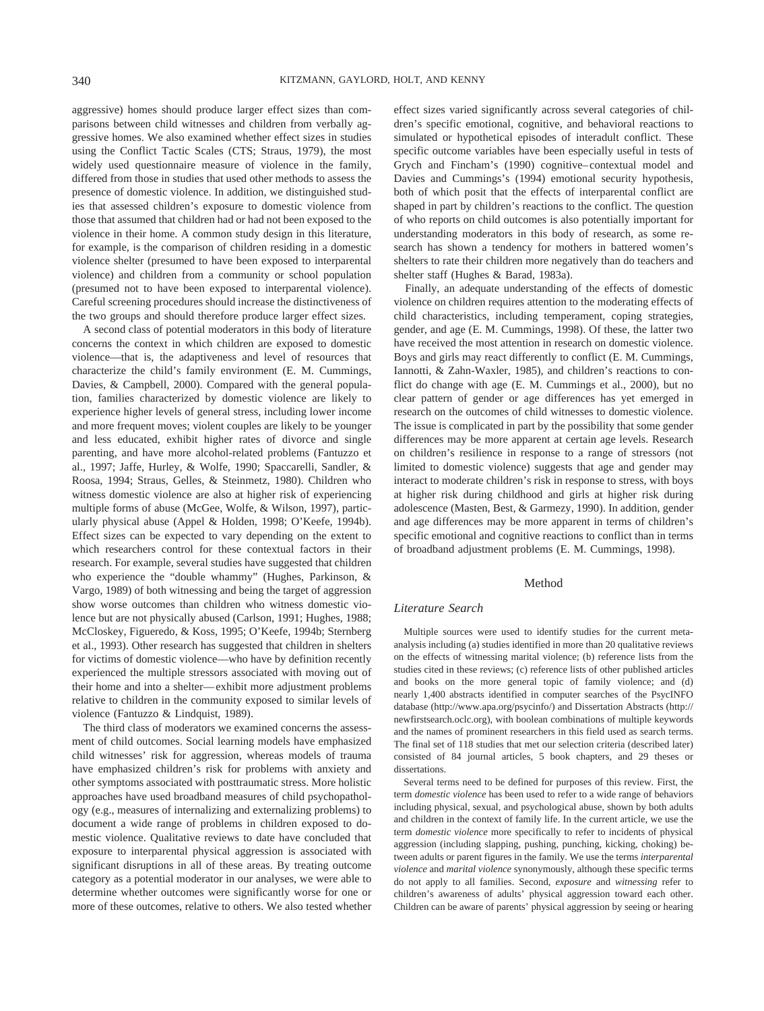aggressive) homes should produce larger effect sizes than comparisons between child witnesses and children from verbally aggressive homes. We also examined whether effect sizes in studies using the Conflict Tactic Scales (CTS; Straus, 1979), the most widely used questionnaire measure of violence in the family, differed from those in studies that used other methods to assess the presence of domestic violence. In addition, we distinguished studies that assessed children's exposure to domestic violence from those that assumed that children had or had not been exposed to the violence in their home. A common study design in this literature, for example, is the comparison of children residing in a domestic violence shelter (presumed to have been exposed to interparental violence) and children from a community or school population (presumed not to have been exposed to interparental violence). Careful screening procedures should increase the distinctiveness of the two groups and should therefore produce larger effect sizes.

A second class of potential moderators in this body of literature concerns the context in which children are exposed to domestic violence—that is, the adaptiveness and level of resources that characterize the child's family environment (E. M. Cummings, Davies, & Campbell, 2000). Compared with the general population, families characterized by domestic violence are likely to experience higher levels of general stress, including lower income and more frequent moves; violent couples are likely to be younger and less educated, exhibit higher rates of divorce and single parenting, and have more alcohol-related problems (Fantuzzo et al., 1997; Jaffe, Hurley, & Wolfe, 1990; Spaccarelli, Sandler, & Roosa, 1994; Straus, Gelles, & Steinmetz, 1980). Children who witness domestic violence are also at higher risk of experiencing multiple forms of abuse (McGee, Wolfe, & Wilson, 1997), particularly physical abuse (Appel & Holden, 1998; O'Keefe, 1994b). Effect sizes can be expected to vary depending on the extent to which researchers control for these contextual factors in their research. For example, several studies have suggested that children who experience the "double whammy" (Hughes, Parkinson, & Vargo, 1989) of both witnessing and being the target of aggression show worse outcomes than children who witness domestic violence but are not physically abused (Carlson, 1991; Hughes, 1988; McCloskey, Figueredo, & Koss, 1995; O'Keefe, 1994b; Sternberg et al., 1993). Other research has suggested that children in shelters for victims of domestic violence—who have by definition recently experienced the multiple stressors associated with moving out of their home and into a shelter—exhibit more adjustment problems relative to children in the community exposed to similar levels of violence (Fantuzzo & Lindquist, 1989).

The third class of moderators we examined concerns the assessment of child outcomes. Social learning models have emphasized child witnesses' risk for aggression, whereas models of trauma have emphasized children's risk for problems with anxiety and other symptoms associated with posttraumatic stress. More holistic approaches have used broadband measures of child psychopathology (e.g., measures of internalizing and externalizing problems) to document a wide range of problems in children exposed to domestic violence. Qualitative reviews to date have concluded that exposure to interparental physical aggression is associated with significant disruptions in all of these areas. By treating outcome category as a potential moderator in our analyses, we were able to determine whether outcomes were significantly worse for one or more of these outcomes, relative to others. We also tested whether

effect sizes varied significantly across several categories of children's specific emotional, cognitive, and behavioral reactions to simulated or hypothetical episodes of interadult conflict. These specific outcome variables have been especially useful in tests of Grych and Fincham's (1990) cognitive–contextual model and Davies and Cummings's (1994) emotional security hypothesis, both of which posit that the effects of interparental conflict are shaped in part by children's reactions to the conflict. The question of who reports on child outcomes is also potentially important for understanding moderators in this body of research, as some research has shown a tendency for mothers in battered women's shelters to rate their children more negatively than do teachers and shelter staff (Hughes & Barad, 1983a).

Finally, an adequate understanding of the effects of domestic violence on children requires attention to the moderating effects of child characteristics, including temperament, coping strategies, gender, and age (E. M. Cummings, 1998). Of these, the latter two have received the most attention in research on domestic violence. Boys and girls may react differently to conflict (E. M. Cummings, Iannotti, & Zahn-Waxler, 1985), and children's reactions to conflict do change with age (E. M. Cummings et al., 2000), but no clear pattern of gender or age differences has yet emerged in research on the outcomes of child witnesses to domestic violence. The issue is complicated in part by the possibility that some gender differences may be more apparent at certain age levels. Research on children's resilience in response to a range of stressors (not limited to domestic violence) suggests that age and gender may interact to moderate children's risk in response to stress, with boys at higher risk during childhood and girls at higher risk during adolescence (Masten, Best, & Garmezy, 1990). In addition, gender and age differences may be more apparent in terms of children's specific emotional and cognitive reactions to conflict than in terms of broadband adjustment problems (E. M. Cummings, 1998).

#### Method

## *Literature Search*

Multiple sources were used to identify studies for the current metaanalysis including (a) studies identified in more than 20 qualitative reviews on the effects of witnessing marital violence; (b) reference lists from the studies cited in these reviews; (c) reference lists of other published articles and books on the more general topic of family violence; and (d) nearly 1,400 abstracts identified in computer searches of the PsycINFO database (http://www.apa.org/psycinfo/) and Dissertation Abstracts (http:// newfirstsearch.oclc.org), with boolean combinations of multiple keywords and the names of prominent researchers in this field used as search terms. The final set of 118 studies that met our selection criteria (described later) consisted of 84 journal articles, 5 book chapters, and 29 theses or dissertations.

Several terms need to be defined for purposes of this review. First, the term *domestic violence* has been used to refer to a wide range of behaviors including physical, sexual, and psychological abuse, shown by both adults and children in the context of family life. In the current article, we use the term *domestic violence* more specifically to refer to incidents of physical aggression (including slapping, pushing, punching, kicking, choking) between adults or parent figures in the family. We use the terms *interparental violence* and *marital violence* synonymously, although these specific terms do not apply to all families. Second, *exposure* and *witnessing* refer to children's awareness of adults' physical aggression toward each other. Children can be aware of parents' physical aggression by seeing or hearing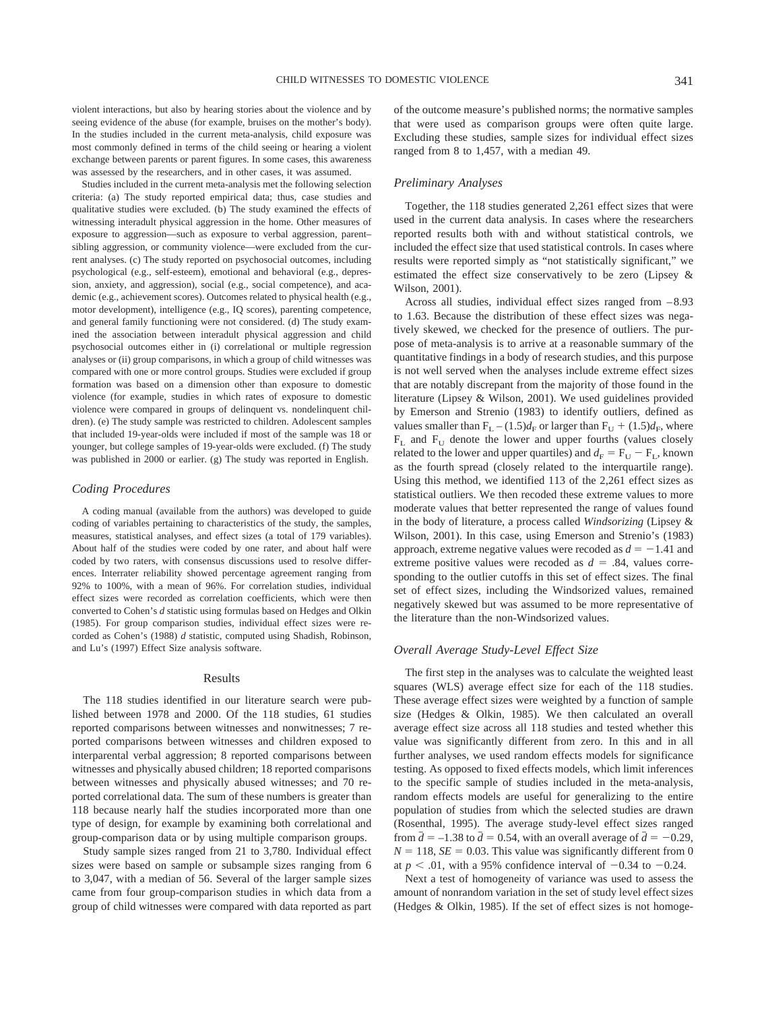violent interactions, but also by hearing stories about the violence and by seeing evidence of the abuse (for example, bruises on the mother's body). In the studies included in the current meta-analysis, child exposure was most commonly defined in terms of the child seeing or hearing a violent exchange between parents or parent figures. In some cases, this awareness was assessed by the researchers, and in other cases, it was assumed.

Studies included in the current meta-analysis met the following selection criteria: (a) The study reported empirical data; thus, case studies and qualitative studies were excluded. (b) The study examined the effects of witnessing interadult physical aggression in the home. Other measures of exposure to aggression—such as exposure to verbal aggression, parent– sibling aggression, or community violence—were excluded from the current analyses. (c) The study reported on psychosocial outcomes, including psychological (e.g., self-esteem), emotional and behavioral (e.g., depression, anxiety, and aggression), social (e.g., social competence), and academic (e.g., achievement scores). Outcomes related to physical health (e.g., motor development), intelligence (e.g., IQ scores), parenting competence, and general family functioning were not considered. (d) The study examined the association between interadult physical aggression and child psychosocial outcomes either in (i) correlational or multiple regression analyses or (ii) group comparisons, in which a group of child witnesses was compared with one or more control groups. Studies were excluded if group formation was based on a dimension other than exposure to domestic violence (for example, studies in which rates of exposure to domestic violence were compared in groups of delinquent vs. nondelinquent children). (e) The study sample was restricted to children. Adolescent samples that included 19-year-olds were included if most of the sample was 18 or younger, but college samples of 19-year-olds were excluded. (f) The study was published in 2000 or earlier. (g) The study was reported in English.

### *Coding Procedures*

A coding manual (available from the authors) was developed to guide coding of variables pertaining to characteristics of the study, the samples, measures, statistical analyses, and effect sizes (a total of 179 variables). About half of the studies were coded by one rater, and about half were coded by two raters, with consensus discussions used to resolve differences. Interrater reliability showed percentage agreement ranging from 92% to 100%, with a mean of 96%. For correlation studies, individual effect sizes were recorded as correlation coefficients, which were then converted to Cohen's *d* statistic using formulas based on Hedges and Olkin (1985). For group comparison studies, individual effect sizes were recorded as Cohen's (1988) *d* statistic, computed using Shadish, Robinson, and Lu's (1997) Effect Size analysis software.

#### Results

The 118 studies identified in our literature search were published between 1978 and 2000. Of the 118 studies, 61 studies reported comparisons between witnesses and nonwitnesses; 7 reported comparisons between witnesses and children exposed to interparental verbal aggression; 8 reported comparisons between witnesses and physically abused children; 18 reported comparisons between witnesses and physically abused witnesses; and 70 reported correlational data. The sum of these numbers is greater than 118 because nearly half the studies incorporated more than one type of design, for example by examining both correlational and group-comparison data or by using multiple comparison groups.

Study sample sizes ranged from 21 to 3,780. Individual effect sizes were based on sample or subsample sizes ranging from 6 to 3,047, with a median of 56. Several of the larger sample sizes came from four group-comparison studies in which data from a group of child witnesses were compared with data reported as part of the outcome measure's published norms; the normative samples that were used as comparison groups were often quite large. Excluding these studies, sample sizes for individual effect sizes ranged from 8 to 1,457, with a median 49.

# *Preliminary Analyses*

Together, the 118 studies generated 2,261 effect sizes that were used in the current data analysis. In cases where the researchers reported results both with and without statistical controls, we included the effect size that used statistical controls. In cases where results were reported simply as "not statistically significant," we estimated the effect size conservatively to be zero (Lipsey & Wilson, 2001).

Across all studies, individual effect sizes ranged from –8.93 to 1.63. Because the distribution of these effect sizes was negatively skewed, we checked for the presence of outliers. The purpose of meta-analysis is to arrive at a reasonable summary of the quantitative findings in a body of research studies, and this purpose is not well served when the analyses include extreme effect sizes that are notably discrepant from the majority of those found in the literature (Lipsey & Wilson, 2001). We used guidelines provided by Emerson and Strenio (1983) to identify outliers, defined as values smaller than  $F_L$  –  $(1.5)d_F$  or larger than  $F_H$  +  $(1.5)d_F$ , where  $F_{\text{L}}$  and  $F_{\text{U}}$  denote the lower and upper fourths (values closely related to the lower and upper quartiles) and  $d_F = F_U - F_L$ , known as the fourth spread (closely related to the interquartile range). Using this method, we identified 113 of the 2,261 effect sizes as statistical outliers. We then recoded these extreme values to more moderate values that better represented the range of values found in the body of literature, a process called *Windsorizing* (Lipsey & Wilson, 2001). In this case, using Emerson and Strenio's (1983) approach, extreme negative values were recoded as  $d = -1.41$  and extreme positive values were recoded as  $d = .84$ , values corresponding to the outlier cutoffs in this set of effect sizes. The final set of effect sizes, including the Windsorized values, remained negatively skewed but was assumed to be more representative of the literature than the non-Windsorized values.

# *Overall Average Study-Level Effect Size*

The first step in the analyses was to calculate the weighted least squares (WLS) average effect size for each of the 118 studies. These average effect sizes were weighted by a function of sample size (Hedges & Olkin, 1985). We then calculated an overall average effect size across all 118 studies and tested whether this value was significantly different from zero. In this and in all further analyses, we used random effects models for significance testing. As opposed to fixed effects models, which limit inferences to the specific sample of studies included in the meta-analysis, random effects models are useful for generalizing to the entire population of studies from which the selected studies are drawn (Rosenthal, 1995). The average study-level effect sizes ranged from  $\bar{d} = -1.38$  to  $\bar{d} = 0.54$ , with an overall average of  $\bar{d} = -0.29$ ,  $N = 118$ ,  $SE = 0.03$ . This value was significantly different from 0 at  $p < .01$ , with a 95% confidence interval of  $-0.34$  to  $-0.24$ .

Next a test of homogeneity of variance was used to assess the amount of nonrandom variation in the set of study level effect sizes (Hedges & Olkin, 1985). If the set of effect sizes is not homoge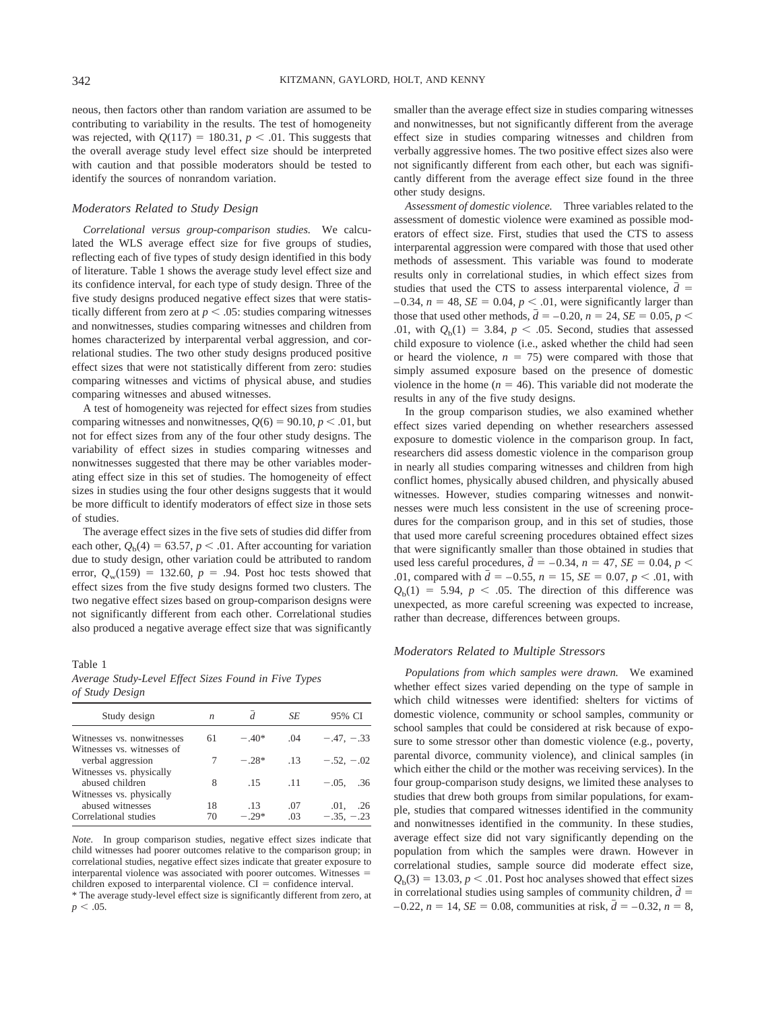neous, then factors other than random variation are assumed to be contributing to variability in the results. The test of homogeneity was rejected, with  $Q(117) = 180.31$ ,  $p < .01$ . This suggests that the overall average study level effect size should be interpreted with caution and that possible moderators should be tested to identify the sources of nonrandom variation.

### *Moderators Related to Study Design*

*Correlational versus group-comparison studies.* We calculated the WLS average effect size for five groups of studies, reflecting each of five types of study design identified in this body of literature. Table 1 shows the average study level effect size and its confidence interval, for each type of study design. Three of the five study designs produced negative effect sizes that were statistically different from zero at  $p < .05$ : studies comparing witnesses and nonwitnesses, studies comparing witnesses and children from homes characterized by interparental verbal aggression, and correlational studies. The two other study designs produced positive effect sizes that were not statistically different from zero: studies comparing witnesses and victims of physical abuse, and studies comparing witnesses and abused witnesses.

A test of homogeneity was rejected for effect sizes from studies comparing witnesses and nonwitnesses,  $Q(6) = 90.10, p < .01$ , but not for effect sizes from any of the four other study designs. The variability of effect sizes in studies comparing witnesses and nonwitnesses suggested that there may be other variables moderating effect size in this set of studies. The homogeneity of effect sizes in studies using the four other designs suggests that it would be more difficult to identify moderators of effect size in those sets of studies.

The average effect sizes in the five sets of studies did differ from each other,  $Q_b(4) = 63.57$ ,  $p < .01$ . After accounting for variation due to study design, other variation could be attributed to random error,  $Q_w(159) = 132.60$ ,  $p = .94$ . Post hoc tests showed that effect sizes from the five study designs formed two clusters. The two negative effect sizes based on group-comparison designs were not significantly different from each other. Correlational studies also produced a negative average effect size that was significantly

# Table 1

*Average Study-Level Effect Sizes Found in Five Types of Study Design*

| Study design                                                          | n        |               | SE         | 95% CI                      |
|-----------------------------------------------------------------------|----------|---------------|------------|-----------------------------|
| Witnesses vs. nonwitnesses                                            | 61       | $-40*$        | .04        | $-.47, -.33$                |
| Witnesses vs. witnesses of<br>verbal aggression                       |          | $-28*$        | 13         | $-.52, -.02$                |
| Witnesses vs. physically<br>abused children                           | 8        | .15           | .11        | $-.05.$ .36                 |
| Witnesses vs. physically<br>abused witnesses<br>Correlational studies | 18<br>70 | .13<br>$-29*$ | .07<br>.03 | .01,<br>.26<br>$-.35, -.23$ |

*Note.* In group comparison studies, negative effect sizes indicate that child witnesses had poorer outcomes relative to the comparison group; in correlational studies, negative effect sizes indicate that greater exposure to interparental violence was associated with poorer outcomes. Witnesses children exposed to interparental violence.  $CI =$  confidence interval.

\* The average study-level effect size is significantly different from zero, at  $p < .05$ .

smaller than the average effect size in studies comparing witnesses and nonwitnesses, but not significantly different from the average effect size in studies comparing witnesses and children from verbally aggressive homes. The two positive effect sizes also were not significantly different from each other, but each was significantly different from the average effect size found in the three other study designs.

*Assessment of domestic violence.* Three variables related to the assessment of domestic violence were examined as possible moderators of effect size. First, studies that used the CTS to assess interparental aggression were compared with those that used other methods of assessment. This variable was found to moderate results only in correlational studies, in which effect sizes from studies that used the CTS to assess interparental violence,  $\overline{d}$  =  $-0.34$ ,  $n = 48$ ,  $SE = 0.04$ ,  $p < 0.01$ , were significantly larger than those that used other methods,  $\overline{d} = -0.20$ ,  $n = 24$ ,  $SE = 0.05$ ,  $p <$ .01, with  $Q_b(1) = 3.84$ ,  $p < .05$ . Second, studies that assessed child exposure to violence (i.e., asked whether the child had seen or heard the violence,  $n = 75$ ) were compared with those that simply assumed exposure based on the presence of domestic violence in the home ( $n = 46$ ). This variable did not moderate the results in any of the five study designs.

In the group comparison studies, we also examined whether effect sizes varied depending on whether researchers assessed exposure to domestic violence in the comparison group. In fact, researchers did assess domestic violence in the comparison group in nearly all studies comparing witnesses and children from high conflict homes, physically abused children, and physically abused witnesses. However, studies comparing witnesses and nonwitnesses were much less consistent in the use of screening procedures for the comparison group, and in this set of studies, those that used more careful screening procedures obtained effect sizes that were significantly smaller than those obtained in studies that used less careful procedures,  $\bar{d} = -0.34$ ,  $n = 47$ ,  $SE = 0.04$ ,  $p <$ .01, compared with  $\bar{d} = -0.55$ ,  $n = 15$ ,  $SE = 0.07$ ,  $p < .01$ , with  $Q_{\rm b}(1) = 5.94$ ,  $p < .05$ . The direction of this difference was unexpected, as more careful screening was expected to increase, rather than decrease, differences between groups.

### *Moderators Related to Multiple Stressors*

*Populations from which samples were drawn.* We examined whether effect sizes varied depending on the type of sample in which child witnesses were identified: shelters for victims of domestic violence, community or school samples, community or school samples that could be considered at risk because of exposure to some stressor other than domestic violence (e.g., poverty, parental divorce, community violence), and clinical samples (in which either the child or the mother was receiving services). In the four group-comparison study designs, we limited these analyses to studies that drew both groups from similar populations, for example, studies that compared witnesses identified in the community and nonwitnesses identified in the community. In these studies, average effect size did not vary significantly depending on the population from which the samples were drawn. However in correlational studies, sample source did moderate effect size,  $Q_{\rm b}(3) = 13.03$ ,  $p < .01$ . Post hoc analyses showed that effect sizes in correlational studies using samples of community children,  $\overline{d}$  =  $-0.22$ ,  $n = 14$ ,  $SE = 0.08$ , communities at risk,  $\overline{d} = -0.32$ ,  $n = 8$ ,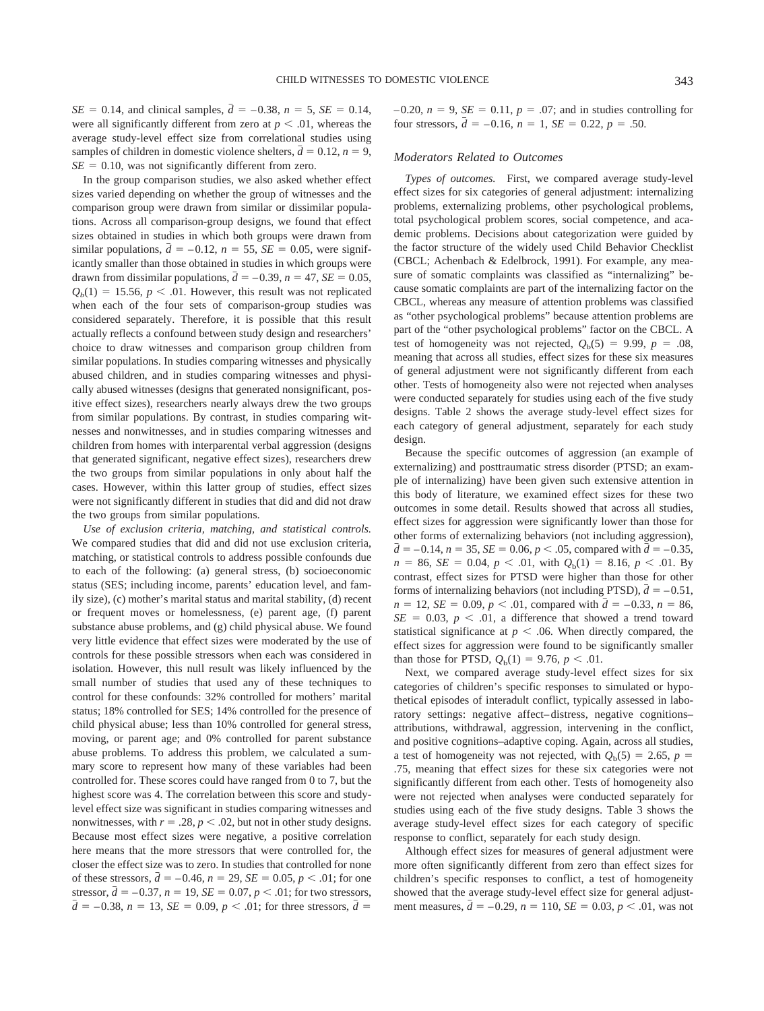$SE = 0.14$ , and clinical samples,  $\bar{d} = -0.38$ ,  $n = 5$ ,  $SE = 0.14$ , were all significantly different from zero at  $p \leq 0.01$ , whereas the average study-level effect size from correlational studies using samples of children in domestic violence shelters,  $\bar{d} = 0.12$ ,  $n = 9$ ,  $SE = 0.10$ , was not significantly different from zero.

In the group comparison studies, we also asked whether effect sizes varied depending on whether the group of witnesses and the comparison group were drawn from similar or dissimilar populations. Across all comparison-group designs, we found that effect sizes obtained in studies in which both groups were drawn from similar populations,  $\bar{d} = -0.12$ ,  $n = 55$ ,  $SE = 0.05$ , were significantly smaller than those obtained in studies in which groups were drawn from dissimilar populations,  $\overline{d} = -0.39$ ,  $n = 47$ ,  $SE = 0.05$ ,  $Q_b(1) = 15.56$ ,  $p < .01$ . However, this result was not replicated when each of the four sets of comparison-group studies was considered separately. Therefore, it is possible that this result actually reflects a confound between study design and researchers' choice to draw witnesses and comparison group children from similar populations. In studies comparing witnesses and physically abused children, and in studies comparing witnesses and physically abused witnesses (designs that generated nonsignificant, positive effect sizes), researchers nearly always drew the two groups from similar populations. By contrast, in studies comparing witnesses and nonwitnesses, and in studies comparing witnesses and children from homes with interparental verbal aggression (designs that generated significant, negative effect sizes), researchers drew the two groups from similar populations in only about half the cases. However, within this latter group of studies, effect sizes were not significantly different in studies that did and did not draw the two groups from similar populations.

*Use of exclusion criteria, matching, and statistical controls.* We compared studies that did and did not use exclusion criteria, matching, or statistical controls to address possible confounds due to each of the following: (a) general stress, (b) socioeconomic status (SES; including income, parents' education level, and family size), (c) mother's marital status and marital stability, (d) recent or frequent moves or homelessness, (e) parent age, (f) parent substance abuse problems, and (g) child physical abuse. We found very little evidence that effect sizes were moderated by the use of controls for these possible stressors when each was considered in isolation. However, this null result was likely influenced by the small number of studies that used any of these techniques to control for these confounds: 32% controlled for mothers' marital status; 18% controlled for SES; 14% controlled for the presence of child physical abuse; less than 10% controlled for general stress, moving, or parent age; and 0% controlled for parent substance abuse problems. To address this problem, we calculated a summary score to represent how many of these variables had been controlled for. These scores could have ranged from 0 to 7, but the highest score was 4. The correlation between this score and studylevel effect size was significant in studies comparing witnesses and nonwitnesses, with  $r = .28$ ,  $p < .02$ , but not in other study designs. Because most effect sizes were negative, a positive correlation here means that the more stressors that were controlled for, the closer the effect size was to zero. In studies that controlled for none of these stressors,  $\bar{d} = -0.46$ ,  $n = 29$ ,  $SE = 0.05$ ,  $p < .01$ ; for one stressor,  $\bar{d} = -0.37$ ,  $n = 19$ ,  $SE = 0.07$ ,  $p < 0.01$ ; for two stressors,  $\overline{d} = -0.38$ ,  $n = 13$ ,  $SE = 0.09$ ,  $p < .01$ ; for three stressors,  $\overline{d} =$ 

 $-0.20$ ,  $n = 9$ ,  $SE = 0.11$ ,  $p = .07$ ; and in studies controlling for four stressors,  $\bar{d} = -0.16$ ,  $n = 1$ ,  $SE = 0.22$ ,  $p = .50$ .

### *Moderators Related to Outcomes*

*Types of outcomes.* First, we compared average study-level effect sizes for six categories of general adjustment: internalizing problems, externalizing problems, other psychological problems, total psychological problem scores, social competence, and academic problems. Decisions about categorization were guided by the factor structure of the widely used Child Behavior Checklist (CBCL; Achenbach & Edelbrock, 1991). For example, any measure of somatic complaints was classified as "internalizing" because somatic complaints are part of the internalizing factor on the CBCL, whereas any measure of attention problems was classified as "other psychological problems" because attention problems are part of the "other psychological problems" factor on the CBCL. A test of homogeneity was not rejected,  $Q_b(5) = 9.99$ ,  $p = .08$ , meaning that across all studies, effect sizes for these six measures of general adjustment were not significantly different from each other. Tests of homogeneity also were not rejected when analyses were conducted separately for studies using each of the five study designs. Table 2 shows the average study-level effect sizes for each category of general adjustment, separately for each study design.

Because the specific outcomes of aggression (an example of externalizing) and posttraumatic stress disorder (PTSD; an example of internalizing) have been given such extensive attention in this body of literature, we examined effect sizes for these two outcomes in some detail. Results showed that across all studies, effect sizes for aggression were significantly lower than those for other forms of externalizing behaviors (not including aggression),  $\overline{d}$  = -0.14, *n* = 35, *SE* = 0.06, *p* < .05, compared with  $\overline{d}$  = -0.35,  $n = 86$ , *SE* = 0.04,  $p < .01$ , with  $Q_b(1) = 8.16$ ,  $p < .01$ . By contrast, effect sizes for PTSD were higher than those for other forms of internalizing behaviors (not including PTSD),  $\bar{d} = -0.51$ ,  $n = 12$ , *SE* = 0.09,  $p < .01$ , compared with  $\overline{d} = -0.33$ ,  $n = 86$ ,  $SE = 0.03$ ,  $p < .01$ , a difference that showed a trend toward statistical significance at  $p < .06$ . When directly compared, the effect sizes for aggression were found to be significantly smaller than those for PTSD,  $Q_{b}(1) = 9.76$ ,  $p < .01$ .

Next, we compared average study-level effect sizes for six categories of children's specific responses to simulated or hypothetical episodes of interadult conflict, typically assessed in laboratory settings: negative affect– distress, negative cognitions– attributions, withdrawal, aggression, intervening in the conflict, and positive cognitions–adaptive coping. Again, across all studies, a test of homogeneity was not rejected, with  $Q_b(5) = 2.65$ ,  $p =$ .75, meaning that effect sizes for these six categories were not significantly different from each other. Tests of homogeneity also were not rejected when analyses were conducted separately for studies using each of the five study designs. Table 3 shows the average study-level effect sizes for each category of specific response to conflict, separately for each study design.

Although effect sizes for measures of general adjustment were more often significantly different from zero than effect sizes for children's specific responses to conflict, a test of homogeneity showed that the average study-level effect size for general adjustment measures,  $\bar{d} = -0.29$ ,  $n = 110$ ,  $SE = 0.03$ ,  $p < .01$ , was not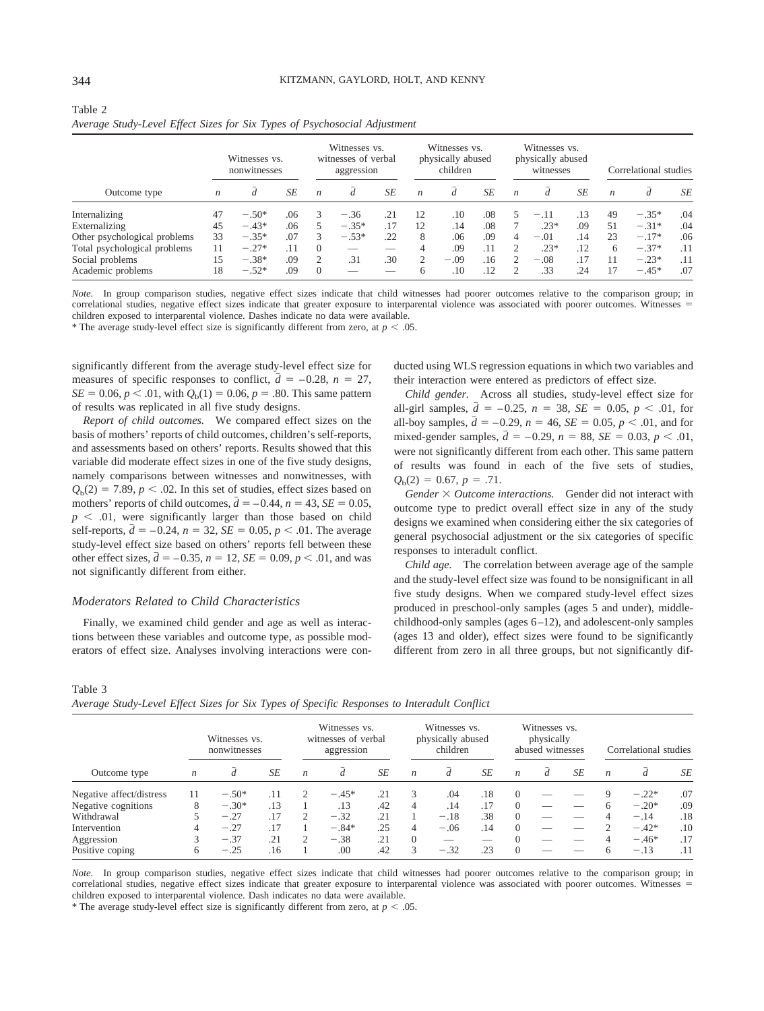| I<br>٠<br>× |  |  |
|-------------|--|--|

| Table 2                                                                   |  |
|---------------------------------------------------------------------------|--|
| Average Study-Level Effect Sizes for Six Types of Psychosocial Adjustment |  |

|                              | Witnesses vs.<br>nonwitnesses |         |     | Witnesses vs.<br>witnesses of verbal<br>aggression |         |     | Witnesses vs.<br>physically abused<br>children |        |     | Witnesses vs.<br>physically abused<br>witnesses |        |     | Correlational studies |         |     |
|------------------------------|-------------------------------|---------|-----|----------------------------------------------------|---------|-----|------------------------------------------------|--------|-----|-------------------------------------------------|--------|-----|-----------------------|---------|-----|
| Outcome type                 | $\boldsymbol{n}$              |         | SE  | $\boldsymbol{n}$                                   | d       | SE  | $\boldsymbol{n}$                               | d      | SE  | $\boldsymbol{n}$                                | đ      | SE  | $\boldsymbol{n}$      | d       | SE  |
| Internalizing                | 47                            | $-.50*$ | .06 |                                                    | $-.36$  | .21 | 12                                             | .10    | .08 |                                                 | $-.11$ | .13 | 49                    | $-.35*$ | .04 |
| Externalizing                | 45                            | $-.43*$ | .06 | 5.                                                 | $-.35*$ | .17 | 12                                             | .14    | .08 |                                                 | $.23*$ | .09 | 51                    | $-.31*$ | .04 |
| Other psychological problems | 33                            | $-.35*$ | .07 | 3                                                  | $-.53*$ | .22 | 8                                              | .06    | .09 | 4                                               | $-.01$ | .14 | 23                    | $-.17*$ | .06 |
| Total psychological problems | 11                            | $-.27*$ | .11 | $\Omega$                                           |         |     | 4                                              | .09    | .11 | $\overline{2}$                                  | $.23*$ | .12 | 6                     | $-.37*$ | .11 |
| Social problems              | 15                            | $-.38*$ | .09 | 2                                                  | .31     | .30 | 2                                              | $-.09$ | .16 | $\overline{2}$                                  | $-.08$ | .17 | 11                    | $-.23*$ | .11 |
| Academic problems            | 18                            | $-.52*$ | .09 | $\Omega$                                           |         |     | 6                                              | .10    | .12 | $\bigcap$                                       | .33    | .24 |                       | $-.45*$ | .07 |

*Note.* In group comparison studies, negative effect sizes indicate that child witnesses had poorer outcomes relative to the comparison group; in correlational studies, negative effect sizes indicate that greater exposure to interparental violence was associated with poorer outcomes. Witnesses = children exposed to interparental violence. Dashes indicate no data were available.

\* The average study-level effect size is significantly different from zero, at  $p < .05$ .

significantly different from the average study-level effect size for measures of specific responses to conflict,  $\overline{d} = -0.28$ ,  $n = 27$ , *SE* = 0.06, *p* < .01, with  $Q_b(1) = 0.06$ , *p* = .80. This same pattern of results was replicated in all five study designs.

*Report of child outcomes.* We compared effect sizes on the basis of mothers' reports of child outcomes, children's self-reports, and assessments based on others' reports. Results showed that this variable did moderate effect sizes in one of the five study designs, namely comparisons between witnesses and nonwitnesses, with  $Q_{\rm b}(2) = 7.89$ ,  $p < .02$ . In this set of studies, effect sizes based on mothers' reports of child outcomes,  $\overline{d} = -0.44$ ,  $n = 43$ ,  $SE = 0.05$ ,  $p \leq 0.01$ , were significantly larger than those based on child self-reports,  $\bar{d} = -0.24$ ,  $n = 32$ ,  $SE = 0.05$ ,  $p < 0.01$ . The average study-level effect size based on others' reports fell between these other effect sizes,  $\bar{d} = -0.35$ ,  $n = 12$ ,  $SE = 0.09$ ,  $p < 0.01$ , and was not significantly different from either.

# *Moderators Related to Child Characteristics*

Finally, we examined child gender and age as well as interactions between these variables and outcome type, as possible moderators of effect size. Analyses involving interactions were conducted using WLS regression equations in which two variables and their interaction were entered as predictors of effect size.

*Child gender.* Across all studies, study-level effect size for all-girl samples,  $\bar{d} = -0.25$ ,  $n = 38$ ,  $SE = 0.05$ ,  $p < .01$ , for all-boy samples,  $\bar{d} = -0.29$ ,  $n = 46$ ,  $SE = 0.05$ ,  $p < .01$ , and for mixed-gender samples,  $\bar{d} = -0.29$ ,  $n = 88$ ,  $SE = 0.03$ ,  $p < .01$ , were not significantly different from each other. This same pattern of results was found in each of the five sets of studies,  $Q_{\rm b}(2) = 0.67, p = .71.$ 

*Gender Outcome interactions.* Gender did not interact with outcome type to predict overall effect size in any of the study designs we examined when considering either the six categories of general psychosocial adjustment or the six categories of specific responses to interadult conflict.

*Child age.* The correlation between average age of the sample and the study-level effect size was found to be nonsignificant in all five study designs. When we compared study-level effect sizes produced in preschool-only samples (ages 5 and under), middlechildhood-only samples (ages 6–12), and adolescent-only samples (ages 13 and older), effect sizes were found to be significantly different from zero in all three groups, but not significantly dif-

#### Table 3

*Average Study-Level Effect Sizes for Six Types of Specific Responses to Interadult Conflict*

| Outcome type             | Witnesses vs.<br>nonwitnesses |         |     | Witnesses vs.<br>witnesses of verbal<br>aggression |         |     |                  | Witnesses vs.<br>physically abused<br>children |                          | Witnesses vs.<br>physically<br>abused witnesses |   |    | Correlational studies |         |           |
|--------------------------|-------------------------------|---------|-----|----------------------------------------------------|---------|-----|------------------|------------------------------------------------|--------------------------|-------------------------------------------------|---|----|-----------------------|---------|-----------|
|                          | $\boldsymbol{n}$              | d       | SE  | $\boldsymbol{n}$                                   | d       | SE  | $\boldsymbol{n}$ | d                                              | <b>SE</b>                | $\boldsymbol{n}$                                | đ | SE | $\boldsymbol{n}$      |         | <b>SE</b> |
| Negative affect/distress | 11                            | $-.50*$ | .11 | 2                                                  | $-.45*$ | .21 |                  | .04                                            | .18                      | $\Omega$                                        |   |    |                       | $-.22*$ | .07       |
| Negative cognitions      | 8                             | $-.30*$ | .13 |                                                    | .13     | .42 | 4                | .14                                            | .17                      | $\Omega$                                        |   |    | h                     | $-.20*$ | .09       |
| Withdrawal               |                               | $-.27$  | .17 | 2                                                  | $-.32$  | .21 |                  | $-.18$                                         | .38                      | $\Omega$                                        |   |    | 4                     | $-.14$  | .18       |
| Intervention             |                               | $-.27$  | .17 |                                                    | $-.84*$ | .25 | 4                | $-.06$                                         | .14                      | $\Omega$                                        |   |    |                       | $-.42*$ | .10       |
| Aggression               |                               | $-.37$  | .21 | 2                                                  | $-.38$  | .21 | $\Omega$         |                                                | $\overline{\phantom{a}}$ |                                                 |   |    |                       | $-.46*$ | .17       |
| Positive coping          |                               | $-.25$  | .16 |                                                    | .00     | .42 | 3                | $-.32$                                         | .23                      | $\Omega$                                        |   |    |                       | $-.13$  | .11       |

*Note.* In group comparison studies, negative effect sizes indicate that child witnesses had poorer outcomes relative to the comparison group; in correlational studies, negative effect sizes indicate that greater exposure to interparental violence was associated with poorer outcomes. Witnesses = children exposed to interparental violence. Dash indicates no data were available.

\* The average study-level effect size is significantly different from zero, at  $p < .05$ .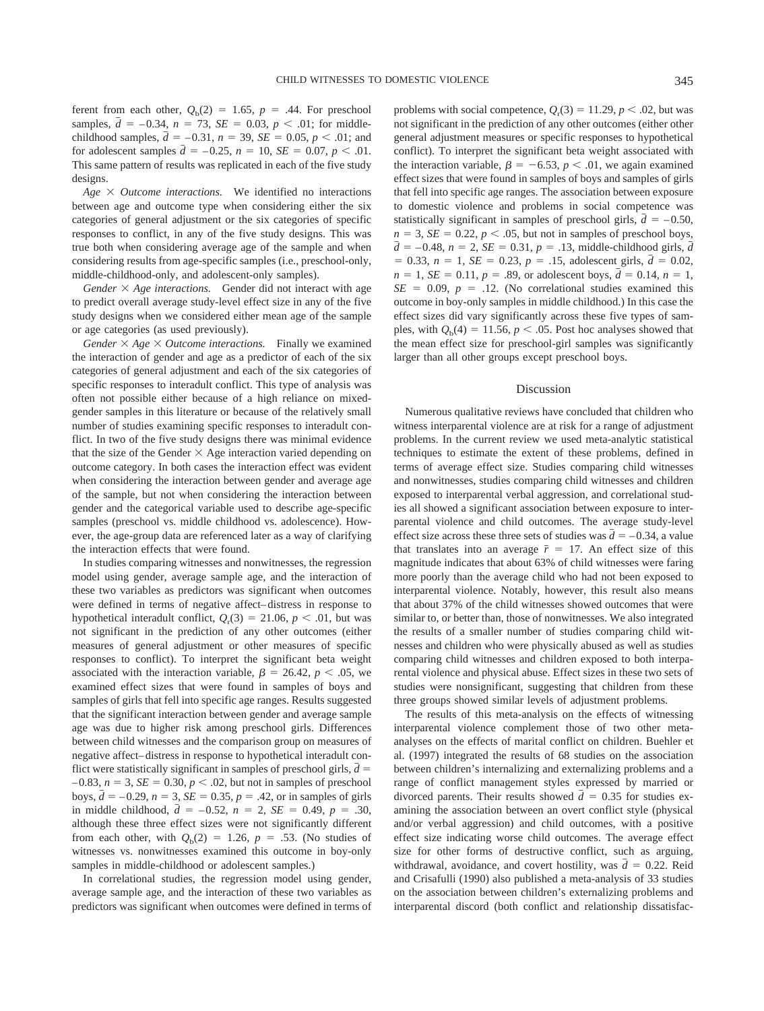ferent from each other,  $Q_b(2) = 1.65$ ,  $p = .44$ . For preschool samples,  $\bar{d} = -0.34$ ,  $n = 73$ ,  $SE = 0.03$ ,  $p < .01$ ; for middlechildhood samples,  $\bar{d} = -0.31$ ,  $n = 39$ ,  $SE = 0.05$ ,  $p < .01$ ; and for adolescent samples  $\bar{d} = -0.25$ ,  $n = 10$ ,  $SE = 0.07$ ,  $p < .01$ . This same pattern of results was replicated in each of the five study designs.

 $Age \times Outcome$  *interactions*. We identified no interactions between age and outcome type when considering either the six categories of general adjustment or the six categories of specific responses to conflict, in any of the five study designs. This was true both when considering average age of the sample and when considering results from age-specific samples (i.e., preschool-only, middle-childhood-only, and adolescent-only samples).

*Gender*  $\times$  *Age interactions.* Gender did not interact with age to predict overall average study-level effect size in any of the five study designs when we considered either mean age of the sample or age categories (as used previously).

*Gender*  $\times$  *Age*  $\times$  *Outcome interactions.* Finally we examined the interaction of gender and age as a predictor of each of the six categories of general adjustment and each of the six categories of specific responses to interadult conflict. This type of analysis was often not possible either because of a high reliance on mixedgender samples in this literature or because of the relatively small number of studies examining specific responses to interadult conflict. In two of the five study designs there was minimal evidence that the size of the Gender  $\times$  Age interaction varied depending on outcome category. In both cases the interaction effect was evident when considering the interaction between gender and average age of the sample, but not when considering the interaction between gender and the categorical variable used to describe age-specific samples (preschool vs. middle childhood vs. adolescence). However, the age-group data are referenced later as a way of clarifying the interaction effects that were found.

In studies comparing witnesses and nonwitnesses, the regression model using gender, average sample age, and the interaction of these two variables as predictors was significant when outcomes were defined in terms of negative affect–distress in response to hypothetical interadult conflict,  $Q_r(3) = 21.06$ ,  $p < .01$ , but was not significant in the prediction of any other outcomes (either measures of general adjustment or other measures of specific responses to conflict). To interpret the significant beta weight associated with the interaction variable,  $\beta = 26.42$ ,  $p < .05$ , we examined effect sizes that were found in samples of boys and samples of girls that fell into specific age ranges. Results suggested that the significant interaction between gender and average sample age was due to higher risk among preschool girls. Differences between child witnesses and the comparison group on measures of negative affect–distress in response to hypothetical interadult conflict were statistically significant in samples of preschool girls,  $\overline{d}$  =  $-0.83$ ,  $n = 3$ ,  $SE = 0.30$ ,  $p < 0.02$ , but not in samples of preschool boys,  $\bar{d} = -0.29$ ,  $n = 3$ ,  $SE = 0.35$ ,  $p = .42$ , or in samples of girls in middle childhood,  $\bar{d} = -0.52$ ,  $n = 2$ ,  $SE = 0.49$ ,  $p = .30$ , although these three effect sizes were not significantly different from each other, with  $Q_b(2) = 1.26$ ,  $p = .53$ . (No studies of witnesses vs. nonwitnesses examined this outcome in boy-only samples in middle-childhood or adolescent samples.)

In correlational studies, the regression model using gender, average sample age, and the interaction of these two variables as predictors was significant when outcomes were defined in terms of

problems with social competence,  $Q_r(3) = 11.29$ ,  $p < .02$ , but was not significant in the prediction of any other outcomes (either other general adjustment measures or specific responses to hypothetical conflict). To interpret the significant beta weight associated with the interaction variable,  $\beta = -6.53$ ,  $p < .01$ , we again examined effect sizes that were found in samples of boys and samples of girls that fell into specific age ranges. The association between exposure to domestic violence and problems in social competence was statistically significant in samples of preschool girls,  $\bar{d} = -0.50$ ,  $n = 3$ ,  $SE = 0.22$ ,  $p < .05$ , but not in samples of preschool boys,  $\overline{d} = -0.48$ ,  $n = 2$ ,  $SE = 0.31$ ,  $p = .13$ , middle-childhood girls,  $\overline{d}$  $= 0.33$ ,  $n = 1$ ,  $SE = 0.23$ ,  $p = .15$ , adolescent girls,  $\bar{d} = 0.02$ ,  $n = 1$ , *SE* = 0.11,  $p = .89$ , or adolescent boys,  $\bar{d} = 0.14$ ,  $n = 1$ ,  $SE = 0.09$ ,  $p = .12$ . (No correlational studies examined this outcome in boy-only samples in middle childhood.) In this case the effect sizes did vary significantly across these five types of samples, with  $Q_b(4) = 11.56$ ,  $p < .05$ . Post hoc analyses showed that the mean effect size for preschool-girl samples was significantly larger than all other groups except preschool boys.

## Discussion

Numerous qualitative reviews have concluded that children who witness interparental violence are at risk for a range of adjustment problems. In the current review we used meta-analytic statistical techniques to estimate the extent of these problems, defined in terms of average effect size. Studies comparing child witnesses and nonwitnesses, studies comparing child witnesses and children exposed to interparental verbal aggression, and correlational studies all showed a significant association between exposure to interparental violence and child outcomes. The average study-level effect size across these three sets of studies was  $\bar{d} = -0.34$ , a value that translates into an average  $\bar{r} = 17$ . An effect size of this magnitude indicates that about 63% of child witnesses were faring more poorly than the average child who had not been exposed to interparental violence. Notably, however, this result also means that about 37% of the child witnesses showed outcomes that were similar to, or better than, those of nonwitnesses. We also integrated the results of a smaller number of studies comparing child witnesses and children who were physically abused as well as studies comparing child witnesses and children exposed to both interparental violence and physical abuse. Effect sizes in these two sets of studies were nonsignificant, suggesting that children from these three groups showed similar levels of adjustment problems.

The results of this meta-analysis on the effects of witnessing interparental violence complement those of two other metaanalyses on the effects of marital conflict on children. Buehler et al. (1997) integrated the results of 68 studies on the association between children's internalizing and externalizing problems and a range of conflict management styles expressed by married or divorced parents. Their results showed  $\bar{d} = 0.35$  for studies examining the association between an overt conflict style (physical and/or verbal aggression) and child outcomes, with a positive effect size indicating worse child outcomes. The average effect size for other forms of destructive conflict, such as arguing, withdrawal, avoidance, and covert hostility, was  $\bar{d} = 0.22$ . Reid and Crisafulli (1990) also published a meta-analysis of 33 studies on the association between children's externalizing problems and interparental discord (both conflict and relationship dissatisfac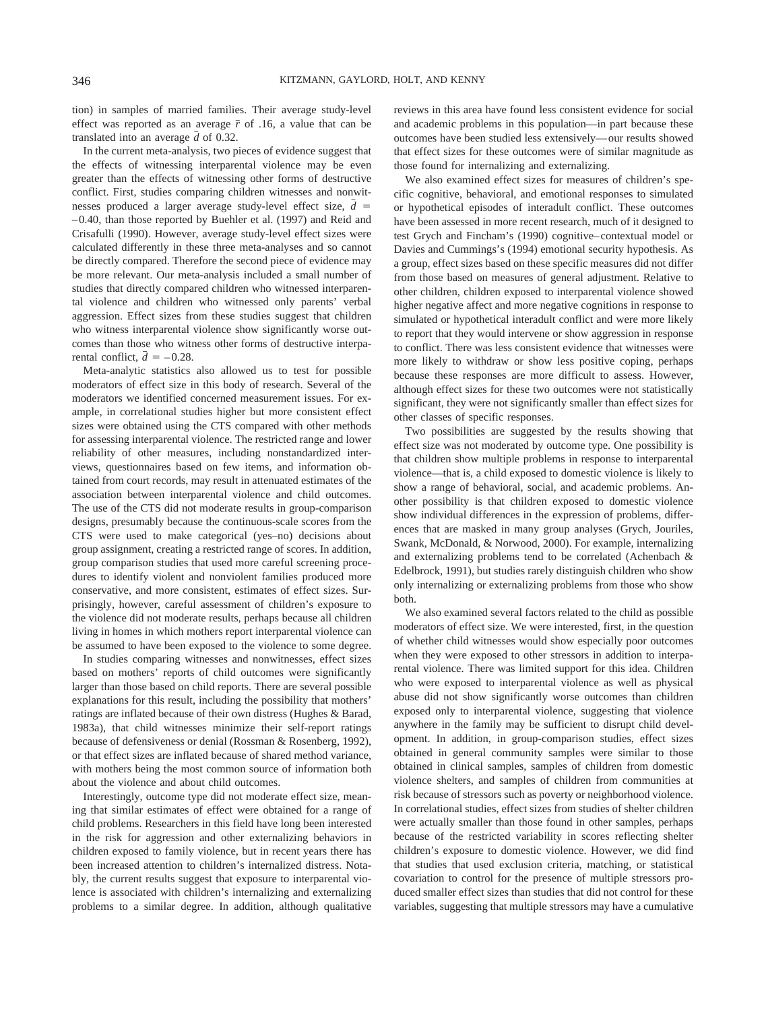tion) in samples of married families. Their average study-level effect was reported as an average  $\bar{r}$  of .16, a value that can be translated into an average  $\overline{d}$  of 0.32.

In the current meta-analysis, two pieces of evidence suggest that the effects of witnessing interparental violence may be even greater than the effects of witnessing other forms of destructive conflict. First, studies comparing children witnesses and nonwitnesses produced a larger average study-level effect size,  $\overline{d}$  = –0.40, than those reported by Buehler et al. (1997) and Reid and Crisafulli (1990). However, average study-level effect sizes were calculated differently in these three meta-analyses and so cannot be directly compared. Therefore the second piece of evidence may be more relevant. Our meta-analysis included a small number of studies that directly compared children who witnessed interparental violence and children who witnessed only parents' verbal aggression. Effect sizes from these studies suggest that children who witness interparental violence show significantly worse outcomes than those who witness other forms of destructive interparental conflict,  $\bar{d} = -0.28$ .

Meta-analytic statistics also allowed us to test for possible moderators of effect size in this body of research. Several of the moderators we identified concerned measurement issues. For example, in correlational studies higher but more consistent effect sizes were obtained using the CTS compared with other methods for assessing interparental violence. The restricted range and lower reliability of other measures, including nonstandardized interviews, questionnaires based on few items, and information obtained from court records, may result in attenuated estimates of the association between interparental violence and child outcomes. The use of the CTS did not moderate results in group-comparison designs, presumably because the continuous-scale scores from the CTS were used to make categorical (yes–no) decisions about group assignment, creating a restricted range of scores. In addition, group comparison studies that used more careful screening procedures to identify violent and nonviolent families produced more conservative, and more consistent, estimates of effect sizes. Surprisingly, however, careful assessment of children's exposure to the violence did not moderate results, perhaps because all children living in homes in which mothers report interparental violence can be assumed to have been exposed to the violence to some degree.

In studies comparing witnesses and nonwitnesses, effect sizes based on mothers' reports of child outcomes were significantly larger than those based on child reports. There are several possible explanations for this result, including the possibility that mothers' ratings are inflated because of their own distress (Hughes & Barad, 1983a), that child witnesses minimize their self-report ratings because of defensiveness or denial (Rossman & Rosenberg, 1992), or that effect sizes are inflated because of shared method variance, with mothers being the most common source of information both about the violence and about child outcomes.

Interestingly, outcome type did not moderate effect size, meaning that similar estimates of effect were obtained for a range of child problems. Researchers in this field have long been interested in the risk for aggression and other externalizing behaviors in children exposed to family violence, but in recent years there has been increased attention to children's internalized distress. Notably, the current results suggest that exposure to interparental violence is associated with children's internalizing and externalizing problems to a similar degree. In addition, although qualitative reviews in this area have found less consistent evidence for social and academic problems in this population—in part because these outcomes have been studied less extensively—our results showed that effect sizes for these outcomes were of similar magnitude as those found for internalizing and externalizing.

We also examined effect sizes for measures of children's specific cognitive, behavioral, and emotional responses to simulated or hypothetical episodes of interadult conflict. These outcomes have been assessed in more recent research, much of it designed to test Grych and Fincham's (1990) cognitive–contextual model or Davies and Cummings's (1994) emotional security hypothesis. As a group, effect sizes based on these specific measures did not differ from those based on measures of general adjustment. Relative to other children, children exposed to interparental violence showed higher negative affect and more negative cognitions in response to simulated or hypothetical interadult conflict and were more likely to report that they would intervene or show aggression in response to conflict. There was less consistent evidence that witnesses were more likely to withdraw or show less positive coping, perhaps because these responses are more difficult to assess. However, although effect sizes for these two outcomes were not statistically significant, they were not significantly smaller than effect sizes for other classes of specific responses.

Two possibilities are suggested by the results showing that effect size was not moderated by outcome type. One possibility is that children show multiple problems in response to interparental violence—that is, a child exposed to domestic violence is likely to show a range of behavioral, social, and academic problems. Another possibility is that children exposed to domestic violence show individual differences in the expression of problems, differences that are masked in many group analyses (Grych, Jouriles, Swank, McDonald, & Norwood, 2000). For example, internalizing and externalizing problems tend to be correlated (Achenbach & Edelbrock, 1991), but studies rarely distinguish children who show only internalizing or externalizing problems from those who show both.

We also examined several factors related to the child as possible moderators of effect size. We were interested, first, in the question of whether child witnesses would show especially poor outcomes when they were exposed to other stressors in addition to interparental violence. There was limited support for this idea. Children who were exposed to interparental violence as well as physical abuse did not show significantly worse outcomes than children exposed only to interparental violence, suggesting that violence anywhere in the family may be sufficient to disrupt child development. In addition, in group-comparison studies, effect sizes obtained in general community samples were similar to those obtained in clinical samples, samples of children from domestic violence shelters, and samples of children from communities at risk because of stressors such as poverty or neighborhood violence. In correlational studies, effect sizes from studies of shelter children were actually smaller than those found in other samples, perhaps because of the restricted variability in scores reflecting shelter children's exposure to domestic violence. However, we did find that studies that used exclusion criteria, matching, or statistical covariation to control for the presence of multiple stressors produced smaller effect sizes than studies that did not control for these variables, suggesting that multiple stressors may have a cumulative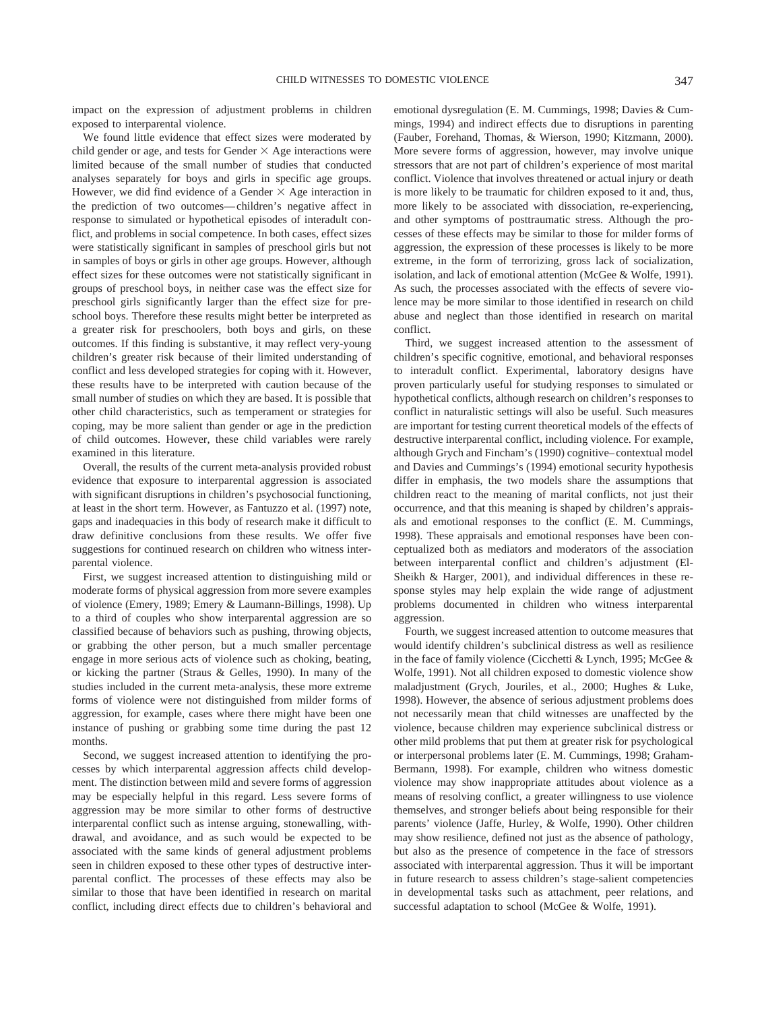impact on the expression of adjustment problems in children exposed to interparental violence.

We found little evidence that effect sizes were moderated by child gender or age, and tests for Gender  $\times$  Age interactions were limited because of the small number of studies that conducted analyses separately for boys and girls in specific age groups. However, we did find evidence of a Gender  $\times$  Age interaction in the prediction of two outcomes—children's negative affect in response to simulated or hypothetical episodes of interadult conflict, and problems in social competence. In both cases, effect sizes were statistically significant in samples of preschool girls but not in samples of boys or girls in other age groups. However, although effect sizes for these outcomes were not statistically significant in groups of preschool boys, in neither case was the effect size for preschool girls significantly larger than the effect size for preschool boys. Therefore these results might better be interpreted as a greater risk for preschoolers, both boys and girls, on these outcomes. If this finding is substantive, it may reflect very-young children's greater risk because of their limited understanding of conflict and less developed strategies for coping with it. However, these results have to be interpreted with caution because of the small number of studies on which they are based. It is possible that other child characteristics, such as temperament or strategies for coping, may be more salient than gender or age in the prediction of child outcomes. However, these child variables were rarely examined in this literature.

Overall, the results of the current meta-analysis provided robust evidence that exposure to interparental aggression is associated with significant disruptions in children's psychosocial functioning, at least in the short term. However, as Fantuzzo et al. (1997) note, gaps and inadequacies in this body of research make it difficult to draw definitive conclusions from these results. We offer five suggestions for continued research on children who witness interparental violence.

First, we suggest increased attention to distinguishing mild or moderate forms of physical aggression from more severe examples of violence (Emery, 1989; Emery & Laumann-Billings, 1998). Up to a third of couples who show interparental aggression are so classified because of behaviors such as pushing, throwing objects, or grabbing the other person, but a much smaller percentage engage in more serious acts of violence such as choking, beating, or kicking the partner (Straus & Gelles, 1990). In many of the studies included in the current meta-analysis, these more extreme forms of violence were not distinguished from milder forms of aggression, for example, cases where there might have been one instance of pushing or grabbing some time during the past 12 months.

Second, we suggest increased attention to identifying the processes by which interparental aggression affects child development. The distinction between mild and severe forms of aggression may be especially helpful in this regard. Less severe forms of aggression may be more similar to other forms of destructive interparental conflict such as intense arguing, stonewalling, withdrawal, and avoidance, and as such would be expected to be associated with the same kinds of general adjustment problems seen in children exposed to these other types of destructive interparental conflict. The processes of these effects may also be similar to those that have been identified in research on marital conflict, including direct effects due to children's behavioral and emotional dysregulation (E. M. Cummings, 1998; Davies & Cummings, 1994) and indirect effects due to disruptions in parenting (Fauber, Forehand, Thomas, & Wierson, 1990; Kitzmann, 2000). More severe forms of aggression, however, may involve unique stressors that are not part of children's experience of most marital conflict. Violence that involves threatened or actual injury or death is more likely to be traumatic for children exposed to it and, thus, more likely to be associated with dissociation, re-experiencing, and other symptoms of posttraumatic stress. Although the processes of these effects may be similar to those for milder forms of aggression, the expression of these processes is likely to be more extreme, in the form of terrorizing, gross lack of socialization, isolation, and lack of emotional attention (McGee & Wolfe, 1991). As such, the processes associated with the effects of severe violence may be more similar to those identified in research on child abuse and neglect than those identified in research on marital conflict.

Third, we suggest increased attention to the assessment of children's specific cognitive, emotional, and behavioral responses to interadult conflict. Experimental, laboratory designs have proven particularly useful for studying responses to simulated or hypothetical conflicts, although research on children's responses to conflict in naturalistic settings will also be useful. Such measures are important for testing current theoretical models of the effects of destructive interparental conflict, including violence. For example, although Grych and Fincham's (1990) cognitive–contextual model and Davies and Cummings's (1994) emotional security hypothesis differ in emphasis, the two models share the assumptions that children react to the meaning of marital conflicts, not just their occurrence, and that this meaning is shaped by children's appraisals and emotional responses to the conflict (E. M. Cummings, 1998). These appraisals and emotional responses have been conceptualized both as mediators and moderators of the association between interparental conflict and children's adjustment (El-Sheikh & Harger, 2001), and individual differences in these response styles may help explain the wide range of adjustment problems documented in children who witness interparental aggression.

Fourth, we suggest increased attention to outcome measures that would identify children's subclinical distress as well as resilience in the face of family violence (Cicchetti & Lynch, 1995; McGee & Wolfe, 1991). Not all children exposed to domestic violence show maladjustment (Grych, Jouriles, et al., 2000; Hughes & Luke, 1998). However, the absence of serious adjustment problems does not necessarily mean that child witnesses are unaffected by the violence, because children may experience subclinical distress or other mild problems that put them at greater risk for psychological or interpersonal problems later (E. M. Cummings, 1998; Graham-Bermann, 1998). For example, children who witness domestic violence may show inappropriate attitudes about violence as a means of resolving conflict, a greater willingness to use violence themselves, and stronger beliefs about being responsible for their parents' violence (Jaffe, Hurley, & Wolfe, 1990). Other children may show resilience, defined not just as the absence of pathology, but also as the presence of competence in the face of stressors associated with interparental aggression. Thus it will be important in future research to assess children's stage-salient competencies in developmental tasks such as attachment, peer relations, and successful adaptation to school (McGee & Wolfe, 1991).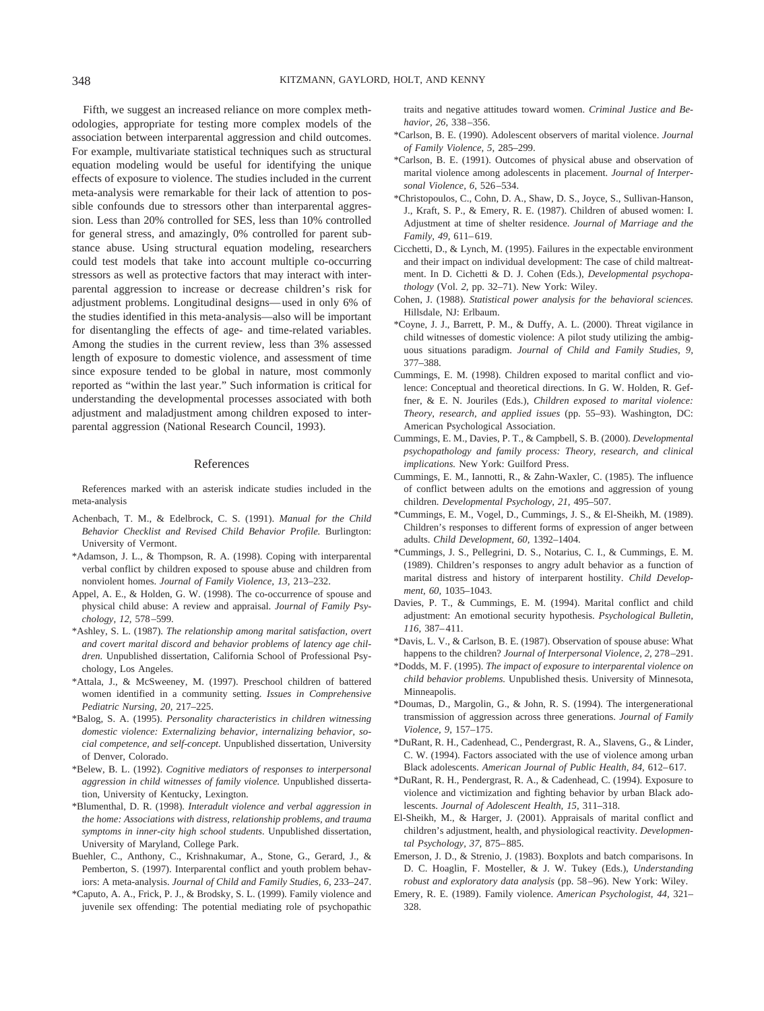Fifth, we suggest an increased reliance on more complex methodologies, appropriate for testing more complex models of the association between interparental aggression and child outcomes. For example, multivariate statistical techniques such as structural equation modeling would be useful for identifying the unique effects of exposure to violence. The studies included in the current meta-analysis were remarkable for their lack of attention to possible confounds due to stressors other than interparental aggression. Less than 20% controlled for SES, less than 10% controlled for general stress, and amazingly, 0% controlled for parent substance abuse. Using structural equation modeling, researchers could test models that take into account multiple co-occurring stressors as well as protective factors that may interact with interparental aggression to increase or decrease children's risk for adjustment problems. Longitudinal designs—used in only 6% of the studies identified in this meta-analysis—also will be important for disentangling the effects of age- and time-related variables. Among the studies in the current review, less than 3% assessed length of exposure to domestic violence, and assessment of time since exposure tended to be global in nature, most commonly reported as "within the last year." Such information is critical for understanding the developmental processes associated with both adjustment and maladjustment among children exposed to interparental aggression (National Research Council, 1993).

### References

References marked with an asterisk indicate studies included in the meta-analysis

- Achenbach, T. M., & Edelbrock, C. S. (1991). *Manual for the Child Behavior Checklist and Revised Child Behavior Profile.* Burlington: University of Vermont.
- \*Adamson, J. L., & Thompson, R. A. (1998). Coping with interparental verbal conflict by children exposed to spouse abuse and children from nonviolent homes. *Journal of Family Violence, 13,* 213–232.
- Appel, A. E., & Holden, G. W. (1998). The co-occurrence of spouse and physical child abuse: A review and appraisal. *Journal of Family Psychology, 12,* 578–599.
- \*Ashley, S. L. (1987). *The relationship among marital satisfaction, overt and covert marital discord and behavior problems of latency age children.* Unpublished dissertation, California School of Professional Psychology, Los Angeles.
- \*Attala, J., & McSweeney, M. (1997). Preschool children of battered women identified in a community setting. *Issues in Comprehensive Pediatric Nursing, 20,* 217–225.
- \*Balog, S. A. (1995). *Personality characteristics in children witnessing domestic violence: Externalizing behavior, internalizing behavior, social competence, and self-concept.* Unpublished dissertation, University of Denver, Colorado.
- \*Belew, B. L. (1992). *Cognitive mediators of responses to interpersonal aggression in child witnesses of family violence.* Unpublished dissertation, University of Kentucky, Lexington.
- \*Blumenthal, D. R. (1998). *Interadult violence and verbal aggression in the home: Associations with distress, relationship problems, and trauma symptoms in inner-city high school students.* Unpublished dissertation, University of Maryland, College Park.
- Buehler, C., Anthony, C., Krishnakumar, A., Stone, G., Gerard, J., & Pemberton, S. (1997). Interparental conflict and youth problem behaviors: A meta-analysis. *Journal of Child and Family Studies, 6,* 233–247.
- \*Caputo, A. A., Frick, P. J., & Brodsky, S. L. (1999). Family violence and juvenile sex offending: The potential mediating role of psychopathic

traits and negative attitudes toward women. *Criminal Justice and Behavior, 26,* 338–356.

- \*Carlson, B. E. (1990). Adolescent observers of marital violence. *Journal of Family Violence, 5,* 285–299.
- \*Carlson, B. E. (1991). Outcomes of physical abuse and observation of marital violence among adolescents in placement. *Journal of Interpersonal Violence, 6,* 526–534.
- \*Christopoulos, C., Cohn, D. A., Shaw, D. S., Joyce, S., Sullivan-Hanson, J., Kraft, S. P., & Emery, R. E. (1987). Children of abused women: I. Adjustment at time of shelter residence. *Journal of Marriage and the Family, 49,* 611–619.
- Cicchetti, D., & Lynch, M. (1995). Failures in the expectable environment and their impact on individual development: The case of child maltreatment. In D. Cichetti & D. J. Cohen (Eds.), *Developmental psychopathology* (Vol. *2,* pp. 32–71). New York: Wiley.
- Cohen, J. (1988). *Statistical power analysis for the behavioral sciences.* Hillsdale, NJ: Erlbaum.
- \*Coyne, J. J., Barrett, P. M., & Duffy, A. L. (2000). Threat vigilance in child witnesses of domestic violence: A pilot study utilizing the ambiguous situations paradigm. *Journal of Child and Family Studies, 9,* 377–388.
- Cummings, E. M. (1998). Children exposed to marital conflict and violence: Conceptual and theoretical directions. In G. W. Holden, R. Geffner, & E. N. Jouriles (Eds.), *Children exposed to marital violence: Theory, research, and applied issues* (pp. 55–93). Washington, DC: American Psychological Association.
- Cummings, E. M., Davies, P. T., & Campbell, S. B. (2000). *Developmental psychopathology and family process: Theory, research, and clinical implications.* New York: Guilford Press.
- Cummings, E. M., Iannotti, R., & Zahn-Waxler, C. (1985). The influence of conflict between adults on the emotions and aggression of young children. *Developmental Psychology, 21,* 495–507.
- \*Cummings, E. M., Vogel, D., Cummings, J. S., & El-Sheikh, M. (1989). Children's responses to different forms of expression of anger between adults. *Child Development, 60,* 1392–1404.
- \*Cummings, J. S., Pellegrini, D. S., Notarius, C. I., & Cummings, E. M. (1989). Children's responses to angry adult behavior as a function of marital distress and history of interparent hostility. *Child Development, 60,* 1035–1043.
- Davies, P. T., & Cummings, E. M. (1994). Marital conflict and child adjustment: An emotional security hypothesis. *Psychological Bulletin, 116,* 387–411.
- \*Davis, L. V., & Carlson, B. E. (1987). Observation of spouse abuse: What happens to the children? *Journal of Interpersonal Violence, 2,* 278–291.
- \*Dodds, M. F. (1995). *The impact of exposure to interparental violence on child behavior problems.* Unpublished thesis. University of Minnesota, Minneapolis.
- \*Doumas, D., Margolin, G., & John, R. S. (1994). The intergenerational transmission of aggression across three generations. *Journal of Family Violence, 9,* 157–175.
- \*DuRant, R. H., Cadenhead, C., Pendergrast, R. A., Slavens, G., & Linder, C. W. (1994). Factors associated with the use of violence among urban Black adolescents. *American Journal of Public Health, 84,* 612–617.
- \*DuRant, R. H., Pendergrast, R. A., & Cadenhead, C. (1994). Exposure to violence and victimization and fighting behavior by urban Black adolescents. *Journal of Adolescent Health, 15,* 311–318.
- El-Sheikh, M., & Harger, J. (2001). Appraisals of marital conflict and children's adjustment, health, and physiological reactivity. *Developmental Psychology, 37,* 875–885.
- Emerson, J. D., & Strenio, J. (1983). Boxplots and batch comparisons. In D. C. Hoaglin, F. Mosteller, & J. W. Tukey (Eds.), *Understanding robust and exploratory data analysis* (pp. 58–96). New York: Wiley.
- Emery, R. E. (1989). Family violence. *American Psychologist, 44,* 321– 328.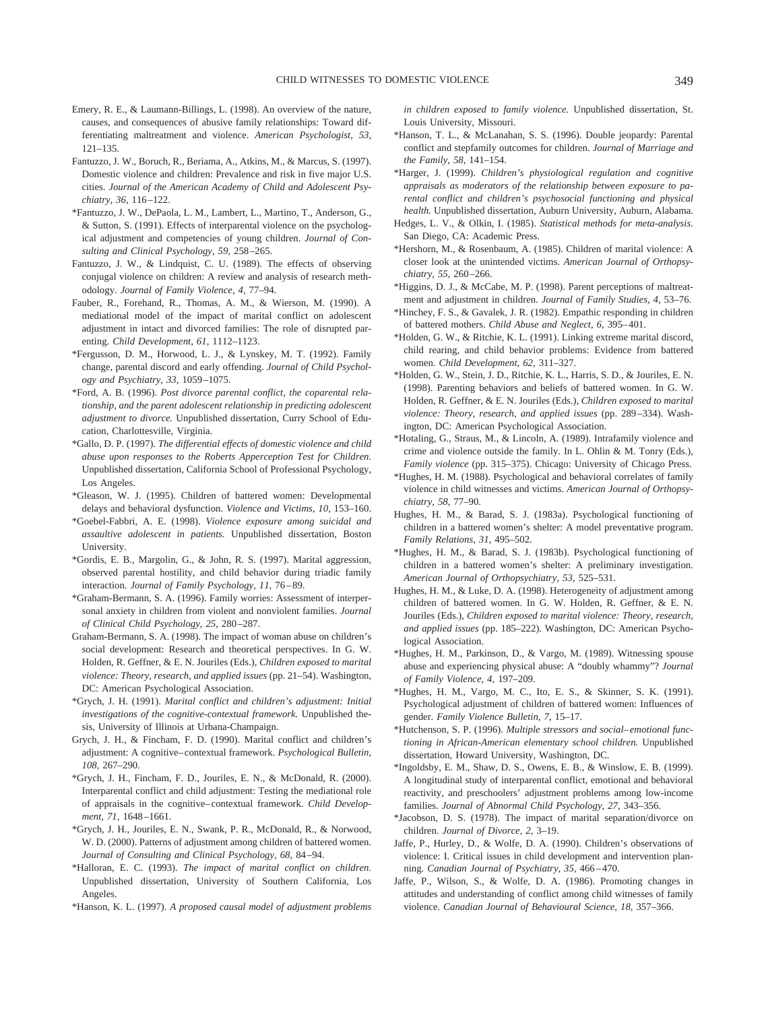- Emery, R. E., & Laumann-Billings, L. (1998). An overview of the nature, causes, and consequences of abusive family relationships: Toward differentiating maltreatment and violence. *American Psychologist, 53,* 121–135.
- Fantuzzo, J. W., Boruch, R., Beriama, A., Atkins, M., & Marcus, S. (1997). Domestic violence and children: Prevalence and risk in five major U.S. cities. *Journal of the American Academy of Child and Adolescent Psychiatry, 36,* 116–122.
- \*Fantuzzo, J. W., DePaola, L. M., Lambert, L., Martino, T., Anderson, G., & Sutton, S. (1991). Effects of interparental violence on the psychological adjustment and competencies of young children. *Journal of Consulting and Clinical Psychology, 59,* 258–265.
- Fantuzzo, J. W., & Lindquist, C. U. (1989). The effects of observing conjugal violence on children: A review and analysis of research methodology. *Journal of Family Violence, 4,* 77–94.
- Fauber, R., Forehand, R., Thomas, A. M., & Wierson, M. (1990). A mediational model of the impact of marital conflict on adolescent adjustment in intact and divorced families: The role of disrupted parenting. *Child Development, 61,* 1112–1123.
- \*Fergusson, D. M., Horwood, L. J., & Lynskey, M. T. (1992). Family change, parental discord and early offending. *Journal of Child Psychology and Psychiatry, 33,* 1059–1075.
- \*Ford, A. B. (1996). *Post divorce parental conflict, the coparental relationship, and the parent adolescent relationship in predicting adolescent adjustment to divorce.* Unpublished dissertation, Curry School of Education, Charlottesville, Virginia.
- \*Gallo, D. P. (1997). *The differential effects of domestic violence and child abuse upon responses to the Roberts Apperception Test for Children.* Unpublished dissertation, California School of Professional Psychology, Los Angeles.
- \*Gleason, W. J. (1995). Children of battered women: Developmental delays and behavioral dysfunction. *Violence and Victims, 10,* 153–160.
- \*Goebel-Fabbri, A. E. (1998). *Violence exposure among suicidal and assaultive adolescent in patients.* Unpublished dissertation, Boston University.
- \*Gordis, E. B., Margolin, G., & John, R. S. (1997). Marital aggression, observed parental hostility, and child behavior during triadic family interaction. *Journal of Family Psychology, 11,* 76–89.
- \*Graham-Bermann, S. A. (1996). Family worries: Assessment of interpersonal anxiety in children from violent and nonviolent families. *Journal of Clinical Child Psychology, 25,* 280–287.
- Graham-Bermann, S. A. (1998). The impact of woman abuse on children's social development: Research and theoretical perspectives. In G. W. Holden, R. Geffner, & E. N. Jouriles (Eds.), *Children exposed to marital violence: Theory, research, and applied issues* (pp. 21–54). Washington, DC: American Psychological Association.
- \*Grych, J. H. (1991). *Marital conflict and children's adjustment: Initial investigations of the cognitive-contextual framework.* Unpublished thesis, University of Illinois at Urbana-Champaign.
- Grych, J. H., & Fincham, F. D. (1990). Marital conflict and children's adjustment: A cognitive–contextual framework. *Psychological Bulletin, 108,* 267–290.
- \*Grych, J. H., Fincham, F. D., Jouriles, E. N., & McDonald, R. (2000). Interparental conflict and child adjustment: Testing the mediational role of appraisals in the cognitive–contextual framework. *Child Development, 71,* 1648–1661.
- \*Grych, J. H., Jouriles, E. N., Swank, P. R., McDonald, R., & Norwood, W. D. (2000). Patterns of adjustment among children of battered women. *Journal of Consulting and Clinical Psychology, 68,* 84–94.
- \*Halloran, E. C. (1993). *The impact of marital conflict on children.* Unpublished dissertation, University of Southern California, Los Angeles.
- \*Hanson, K. L. (1997). *A proposed causal model of adjustment problems*

*in children exposed to family violence.* Unpublished dissertation, St. Louis University, Missouri.

- \*Hanson, T. L., & McLanahan, S. S. (1996). Double jeopardy: Parental conflict and stepfamily outcomes for children. *Journal of Marriage and the Family, 58,* 141–154.
- \*Harger, J. (1999). *Children's physiological regulation and cognitive appraisals as moderators of the relationship between exposure to parental conflict and children's psychosocial functioning and physical health.* Unpublished dissertation, Auburn University, Auburn, Alabama.
- Hedges, L. V., & Olkin, I. (1985). *Statistical methods for meta-analysis.* San Diego, CA: Academic Press.
- \*Hershorn, M., & Rosenbaum, A. (1985). Children of marital violence: A closer look at the unintended victims. *American Journal of Orthopsychiatry, 55,* 260–266.
- \*Higgins, D. J., & McCabe, M. P. (1998). Parent perceptions of maltreatment and adjustment in children. *Journal of Family Studies, 4,* 53–76.
- \*Hinchey, F. S., & Gavalek, J. R. (1982). Empathic responding in children of battered mothers. *Child Abuse and Neglect, 6,* 395–401.
- \*Holden, G. W., & Ritchie, K. L. (1991). Linking extreme marital discord, child rearing, and child behavior problems: Evidence from battered women. *Child Development, 62,* 311–327.
- \*Holden, G. W., Stein, J. D., Ritchie, K. L., Harris, S. D., & Jouriles, E. N. (1998). Parenting behaviors and beliefs of battered women. In G. W. Holden, R. Geffner, & E. N. Jouriles (Eds.), *Children exposed to marital violence: Theory, research, and applied issues* (pp. 289–334). Washington, DC: American Psychological Association.
- \*Hotaling, G., Straus, M., & Lincoln, A. (1989). Intrafamily violence and crime and violence outside the family. In L. Ohlin & M. Tonry (Eds.), *Family violence* (pp. 315–375). Chicago: University of Chicago Press.
- \*Hughes, H. M. (1988). Psychological and behavioral correlates of family violence in child witnesses and victims. *American Journal of Orthopsychiatry, 58,* 77–90.
- Hughes, H. M., & Barad, S. J. (1983a). Psychological functioning of children in a battered women's shelter: A model preventative program. *Family Relations, 31,* 495–502.
- \*Hughes, H. M., & Barad, S. J. (1983b). Psychological functioning of children in a battered women's shelter: A preliminary investigation. *American Journal of Orthopsychiatry, 53,* 525–531.
- Hughes, H. M., & Luke, D. A. (1998). Heterogeneity of adjustment among children of battered women. In G. W. Holden, R. Geffner, & E. N. Jouriles (Eds.), *Children exposed to marital violence: Theory, research, and applied issues* (pp. 185–222). Washington, DC: American Psychological Association.
- \*Hughes, H. M., Parkinson, D., & Vargo, M. (1989). Witnessing spouse abuse and experiencing physical abuse: A "doubly whammy"? *Journal of Family Violence, 4,* 197–209.
- \*Hughes, H. M., Vargo, M. C., Ito, E. S., & Skinner, S. K. (1991). Psychological adjustment of children of battered women: Influences of gender. *Family Violence Bulletin, 7,* 15–17.
- \*Hutchenson, S. P. (1996). *Multiple stressors and social–emotional functioning in African-American elementary school children.* Unpublished dissertation, Howard University, Washington, DC.
- \*Ingoldsby, E. M., Shaw, D. S., Owens, E. B., & Winslow, E. B. (1999). A longitudinal study of interparental conflict, emotional and behavioral reactivity, and preschoolers' adjustment problems among low-income families. *Journal of Abnormal Child Psychology, 27,* 343–356.
- \*Jacobson, D. S. (1978). The impact of marital separation/divorce on children. *Journal of Divorce, 2,* 3–19.
- Jaffe, P., Hurley, D., & Wolfe, D. A. (1990). Children's observations of violence: I. Critical issues in child development and intervention planning. *Canadian Journal of Psychiatry, 35,* 466–470.
- Jaffe, P., Wilson, S., & Wolfe, D. A. (1986). Promoting changes in attitudes and understanding of conflict among child witnesses of family violence. *Canadian Journal of Behavioural Science, 18,* 357–366.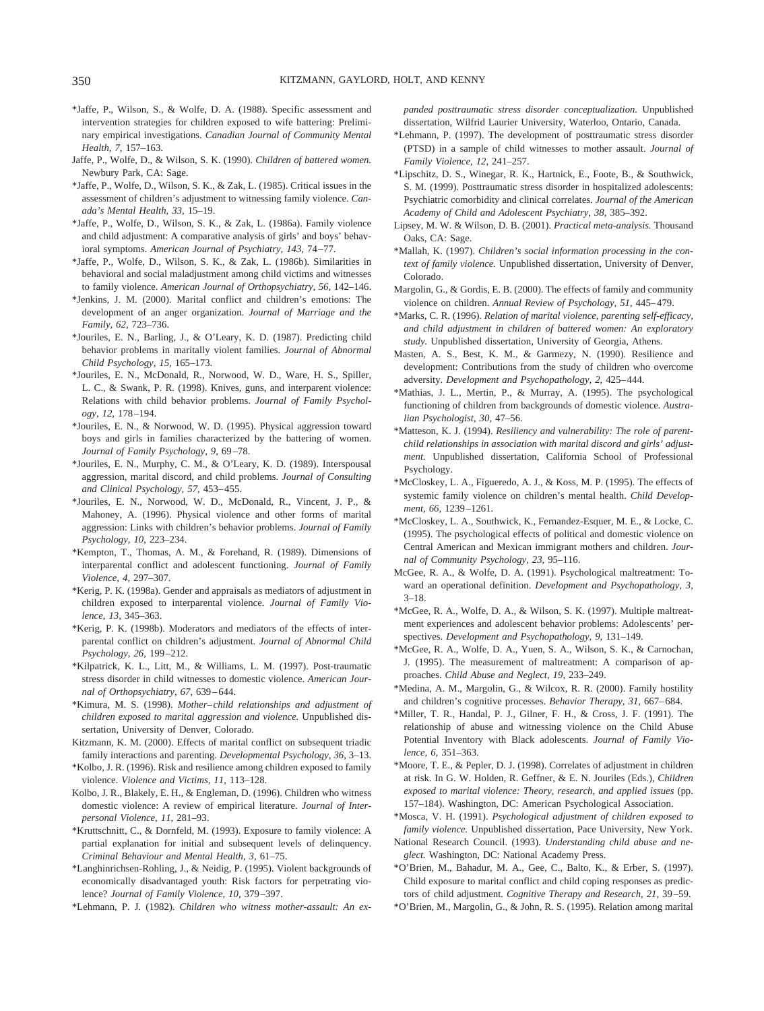- \*Jaffe, P., Wilson, S., & Wolfe, D. A. (1988). Specific assessment and intervention strategies for children exposed to wife battering: Preliminary empirical investigations. *Canadian Journal of Community Mental Health, 7,* 157–163.
- Jaffe, P., Wolfe, D., & Wilson, S. K. (1990). *Children of battered women.* Newbury Park, CA: Sage.
- \*Jaffe, P., Wolfe, D., Wilson, S. K., & Zak, L. (1985). Critical issues in the assessment of children's adjustment to witnessing family violence. *Canada's Mental Health, 33,* 15–19.
- \*Jaffe, P., Wolfe, D., Wilson, S. K., & Zak, L. (1986a). Family violence and child adjustment: A comparative analysis of girls' and boys' behavioral symptoms. *American Journal of Psychiatry, 143,* 74–77.
- \*Jaffe, P., Wolfe, D., Wilson, S. K., & Zak, L. (1986b). Similarities in behavioral and social maladjustment among child victims and witnesses to family violence. *American Journal of Orthopsychiatry, 56,* 142–146.
- \*Jenkins, J. M. (2000). Marital conflict and children's emotions: The development of an anger organization. *Journal of Marriage and the Family, 62,* 723–736.
- \*Jouriles, E. N., Barling, J., & O'Leary, K. D. (1987). Predicting child behavior problems in maritally violent families. *Journal of Abnormal Child Psychology, 15,* 165–173.
- \*Jouriles, E. N., McDonald, R., Norwood, W. D., Ware, H. S., Spiller, L. C., & Swank, P. R. (1998). Knives, guns, and interparent violence: Relations with child behavior problems. *Journal of Family Psychology, 12,* 178–194.
- \*Jouriles, E. N., & Norwood, W. D. (1995). Physical aggression toward boys and girls in families characterized by the battering of women. *Journal of Family Psychology, 9,* 69–78.
- \*Jouriles, E. N., Murphy, C. M., & O'Leary, K. D. (1989). Interspousal aggression, marital discord, and child problems. *Journal of Consulting and Clinical Psychology, 57,* 453–455.
- \*Jouriles, E. N., Norwood, W. D., McDonald, R., Vincent, J. P., & Mahoney, A. (1996). Physical violence and other forms of marital aggression: Links with children's behavior problems. *Journal of Family Psychology, 10,* 223–234.
- \*Kempton, T., Thomas, A. M., & Forehand, R. (1989). Dimensions of interparental conflict and adolescent functioning. *Journal of Family Violence, 4,* 297–307.
- \*Kerig, P. K. (1998a). Gender and appraisals as mediators of adjustment in children exposed to interparental violence. *Journal of Family Violence, 13,* 345–363.
- \*Kerig, P. K. (1998b). Moderators and mediators of the effects of interparental conflict on children's adjustment. *Journal of Abnormal Child Psychology, 26,* 199–212.
- \*Kilpatrick, K. L., Litt, M., & Williams, L. M. (1997). Post-traumatic stress disorder in child witnesses to domestic violence. *American Journal of Orthopsychiatry, 67,* 639–644.
- \*Kimura, M. S. (1998). *Mother–child relationships and adjustment of children exposed to marital aggression and violence.* Unpublished dissertation, University of Denver, Colorado.
- Kitzmann, K. M. (2000). Effects of marital conflict on subsequent triadic family interactions and parenting. *Developmental Psychology, 36,* 3–13.
- \*Kolbo, J. R. (1996). Risk and resilience among children exposed to family violence. *Violence and Victims, 11,* 113–128.
- Kolbo, J. R., Blakely, E. H., & Engleman, D. (1996). Children who witness domestic violence: A review of empirical literature. *Journal of Interpersonal Violence, 11,* 281–93.
- \*Kruttschnitt, C., & Dornfeld, M. (1993). Exposure to family violence: A partial explanation for initial and subsequent levels of delinquency. *Criminal Behaviour and Mental Health, 3,* 61–75.
- \*Langhinrichsen-Rohling, J., & Neidig, P. (1995). Violent backgrounds of economically disadvantaged youth: Risk factors for perpetrating violence? *Journal of Family Violence, 10,* 379–397.
- \*Lehmann, P. J. (1982). *Children who witness mother-assault: An ex-*

*panded posttraumatic stress disorder conceptualization.* Unpublished dissertation, Wilfrid Laurier University, Waterloo, Ontario, Canada.

- \*Lehmann, P. (1997). The development of posttraumatic stress disorder (PTSD) in a sample of child witnesses to mother assault. *Journal of Family Violence, 12,* 241–257.
- \*Lipschitz, D. S., Winegar, R. K., Hartnick, E., Foote, B., & Southwick, S. M. (1999). Posttraumatic stress disorder in hospitalized adolescents: Psychiatric comorbidity and clinical correlates. *Journal of the American Academy of Child and Adolescent Psychiatry, 38,* 385–392.
- Lipsey, M. W. & Wilson, D. B. (2001). *Practical meta-analysis.* Thousand Oaks, CA: Sage.
- \*Mallah, K. (1997). *Children's social information processing in the context of family violence.* Unpublished dissertation, University of Denver, Colorado.
- Margolin, G., & Gordis, E. B. (2000). The effects of family and community violence on children. *Annual Review of Psychology, 51,* 445–479.
- \*Marks, C. R. (1996). *Relation of marital violence, parenting self-efficacy, and child adjustment in children of battered women: An exploratory study.* Unpublished dissertation, University of Georgia, Athens.
- Masten, A. S., Best, K. M., & Garmezy, N. (1990). Resilience and development: Contributions from the study of children who overcome adversity. *Development and Psychopathology, 2,* 425–444.
- \*Mathias, J. L., Mertin, P., & Murray, A. (1995). The psychological functioning of children from backgrounds of domestic violence. *Australian Psychologist, 30,* 47–56.
- \*Matteson, K. J. (1994). *Resiliency and vulnerability: The role of parentchild relationships in association with marital discord and girls' adjustment.* Unpublished dissertation, California School of Professional Psychology.
- \*McCloskey, L. A., Figueredo, A. J., & Koss, M. P. (1995). The effects of systemic family violence on children's mental health. *Child Development, 66,* 1239–1261.
- \*McCloskey, L. A., Southwick, K., Fernandez-Esquer, M. E., & Locke, C. (1995). The psychological effects of political and domestic violence on Central American and Mexican immigrant mothers and children. *Journal of Community Psychology, 23,* 95–116.
- McGee, R. A., & Wolfe, D. A. (1991). Psychological maltreatment: Toward an operational definition. *Development and Psychopathology, 3,* 3–18.
- \*McGee, R. A., Wolfe, D. A., & Wilson, S. K. (1997). Multiple maltreatment experiences and adolescent behavior problems: Adolescents' perspectives. *Development and Psychopathology, 9,* 131–149.
- \*McGee, R. A., Wolfe, D. A., Yuen, S. A., Wilson, S. K., & Carnochan, J. (1995). The measurement of maltreatment: A comparison of approaches. *Child Abuse and Neglect, 19,* 233–249.
- \*Medina, A. M., Margolin, G., & Wilcox, R. R. (2000). Family hostility and children's cognitive processes. *Behavior Therapy, 31,* 667–684.
- \*Miller, T. R., Handal, P. J., Gilner, F. H., & Cross, J. F. (1991). The relationship of abuse and witnessing violence on the Child Abuse Potential Inventory with Black adolescents. *Journal of Family Violence, 6,* 351–363.
- \*Moore, T. E., & Pepler, D. J. (1998). Correlates of adjustment in children at risk. In G. W. Holden, R. Geffner, & E. N. Jouriles (Eds.), *Children exposed to marital violence: Theory, research, and applied issues* (pp. 157–184). Washington, DC: American Psychological Association.
- \*Mosca, V. H. (1991). *Psychological adjustment of children exposed to family violence.* Unpublished dissertation, Pace University, New York.
- National Research Council. (1993). *Understanding child abuse and neglect.* Washington, DC: National Academy Press.
- \*O'Brien, M., Bahadur, M. A., Gee, C., Balto, K., & Erber, S. (1997). Child exposure to marital conflict and child coping responses as predictors of child adjustment. *Cognitive Therapy and Research, 21,* 39–59.
- \*O'Brien, M., Margolin, G., & John, R. S. (1995). Relation among marital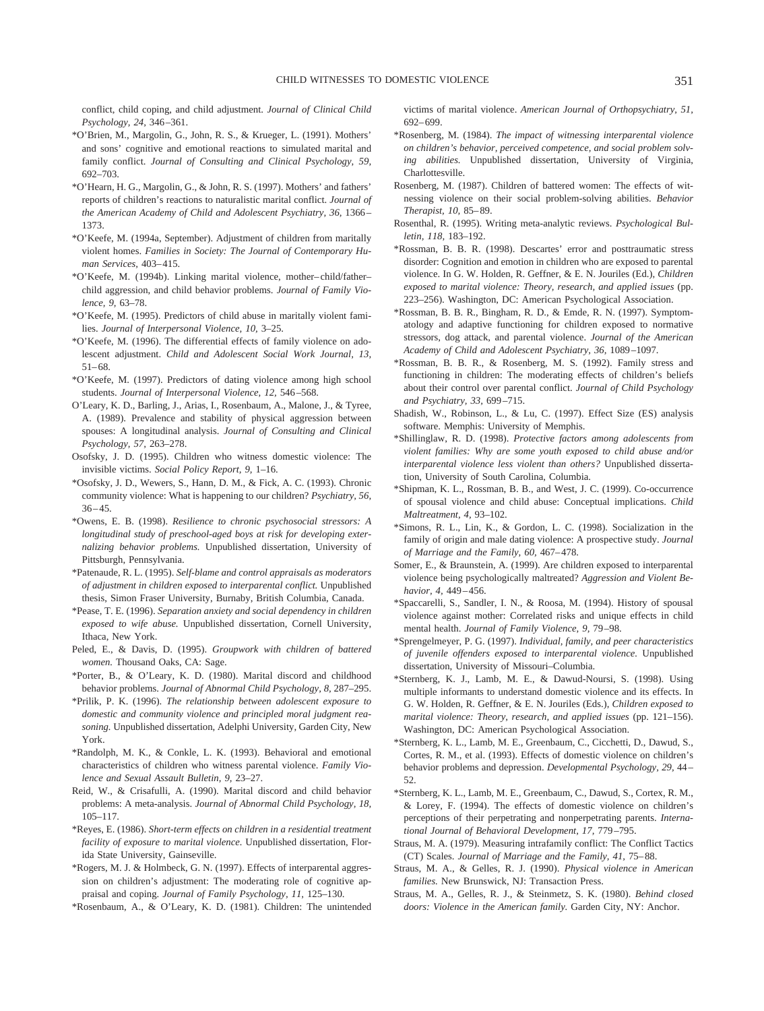conflict, child coping, and child adjustment. *Journal of Clinical Child Psychology, 24,* 346–361.

- \*O'Brien, M., Margolin, G., John, R. S., & Krueger, L. (1991). Mothers' and sons' cognitive and emotional reactions to simulated marital and family conflict. *Journal of Consulting and Clinical Psychology, 59,* 692–703.
- \*O'Hearn, H. G., Margolin, G., & John, R. S. (1997). Mothers' and fathers' reports of children's reactions to naturalistic marital conflict. *Journal of the American Academy of Child and Adolescent Psychiatry, 36,* 1366– 1373.
- \*O'Keefe, M. (1994a, September). Adjustment of children from maritally violent homes. *Families in Society: The Journal of Contemporary Human Services,* 403–415.
- \*O'Keefe, M. (1994b). Linking marital violence, mother–child/father– child aggression, and child behavior problems. *Journal of Family Violence, 9,* 63–78.
- \*O'Keefe, M. (1995). Predictors of child abuse in maritally violent families. *Journal of Interpersonal Violence, 10,* 3–25.
- \*O'Keefe, M. (1996). The differential effects of family violence on adolescent adjustment. *Child and Adolescent Social Work Journal, 13,* 51–68.
- \*O'Keefe, M. (1997). Predictors of dating violence among high school students. *Journal of Interpersonal Violence, 12,* 546–568.
- O'Leary, K. D., Barling, J., Arias, I., Rosenbaum, A., Malone, J., & Tyree, A. (1989). Prevalence and stability of physical aggression between spouses: A longitudinal analysis. *Journal of Consulting and Clinical Psychology, 57,* 263–278.
- Osofsky, J. D. (1995). Children who witness domestic violence: The invisible victims. *Social Policy Report, 9,* 1–16.
- \*Osofsky, J. D., Wewers, S., Hann, D. M., & Fick, A. C. (1993). Chronic community violence: What is happening to our children? *Psychiatry, 56,* 36–45.
- \*Owens, E. B. (1998). *Resilience to chronic psychosocial stressors: A longitudinal study of preschool-aged boys at risk for developing externalizing behavior problems.* Unpublished dissertation, University of Pittsburgh, Pennsylvania.
- \*Patenaude, R. L. (1995). *Self-blame and control appraisals as moderators of adjustment in children exposed to interparental conflict.* Unpublished thesis, Simon Fraser University, Burnaby, British Columbia, Canada.
- \*Pease, T. E. (1996). *Separation anxiety and social dependency in children exposed to wife abuse.* Unpublished dissertation, Cornell University, Ithaca, New York.
- Peled, E., & Davis, D. (1995). *Groupwork with children of battered women.* Thousand Oaks, CA: Sage.
- \*Porter, B., & O'Leary, K. D. (1980). Marital discord and childhood behavior problems. *Journal of Abnormal Child Psychology, 8,* 287–295.
- \*Prilik, P. K. (1996). *The relationship between adolescent exposure to domestic and community violence and principled moral judgment reasoning.* Unpublished dissertation, Adelphi University, Garden City, New York.
- \*Randolph, M. K., & Conkle, L. K. (1993). Behavioral and emotional characteristics of children who witness parental violence. *Family Violence and Sexual Assault Bulletin, 9,* 23–27.
- Reid, W., & Crisafulli, A. (1990). Marital discord and child behavior problems: A meta-analysis. *Journal of Abnormal Child Psychology, 18,* 105–117.
- \*Reyes, E. (1986). *Short-term effects on children in a residential treatment facility of exposure to marital violence.* Unpublished dissertation, Florida State University, Gainseville.
- \*Rogers, M. J. & Holmbeck, G. N. (1997). Effects of interparental aggression on children's adjustment: The moderating role of cognitive appraisal and coping. *Journal of Family Psychology, 11,* 125–130.

\*Rosenbaum, A., & O'Leary, K. D. (1981). Children: The unintended

victims of marital violence. *American Journal of Orthopsychiatry, 51,* 692–699.

- \*Rosenberg, M. (1984). *The impact of witnessing interparental violence on children's behavior, perceived competence, and social problem solving abilities.* Unpublished dissertation, University of Virginia, Charlottesville.
- Rosenberg, M. (1987). Children of battered women: The effects of witnessing violence on their social problem-solving abilities. *Behavior Therapist, 10,* 85–89.
- Rosenthal, R. (1995). Writing meta-analytic reviews. *Psychological Bulletin, 118,* 183–192.
- \*Rossman, B. B. R. (1998). Descartes' error and posttraumatic stress disorder: Cognition and emotion in children who are exposed to parental violence. In G. W. Holden, R. Geffner, & E. N. Jouriles (Ed.), *Children exposed to marital violence: Theory, research, and applied issues* (pp. 223–256). Washington, DC: American Psychological Association.
- \*Rossman, B. B. R., Bingham, R. D., & Emde, R. N. (1997). Symptomatology and adaptive functioning for children exposed to normative stressors, dog attack, and parental violence. *Journal of the American Academy of Child and Adolescent Psychiatry, 36,* 1089–1097.
- \*Rossman, B. B. R., & Rosenberg, M. S. (1992). Family stress and functioning in children: The moderating effects of children's beliefs about their control over parental conflict. *Journal of Child Psychology and Psychiatry, 33,* 699–715.
- Shadish, W., Robinson, L., & Lu, C. (1997). Effect Size (ES) analysis software. Memphis: University of Memphis.
- \*Shillinglaw, R. D. (1998). *Protective factors among adolescents from violent families: Why are some youth exposed to child abuse and/or interparental violence less violent than others?* Unpublished dissertation, University of South Carolina, Columbia.
- \*Shipman, K. L., Rossman, B. B., and West, J. C. (1999). Co-occurrence of spousal violence and child abuse: Conceptual implications. *Child Maltreatment, 4,* 93–102.
- \*Simons, R. L., Lin, K., & Gordon, L. C. (1998). Socialization in the family of origin and male dating violence: A prospective study. *Journal of Marriage and the Family, 60,* 467–478.
- Somer, E., & Braunstein, A. (1999). Are children exposed to interparental violence being psychologically maltreated? *Aggression and Violent Behavior, 4,* 449–456.
- \*Spaccarelli, S., Sandler, I. N., & Roosa, M. (1994). History of spousal violence against mother: Correlated risks and unique effects in child mental health. *Journal of Family Violence, 9,* 79–98.
- \*Sprengelmeyer, P. G. (1997). *Individual, family, and peer characteristics of juvenile offenders exposed to interparental violence.* Unpublished dissertation, University of Missouri–Columbia.
- \*Sternberg, K. J., Lamb, M. E., & Dawud-Noursi, S. (1998). Using multiple informants to understand domestic violence and its effects. In G. W. Holden, R. Geffner, & E. N. Jouriles (Eds.), *Children exposed to marital violence: Theory, research, and applied issues* (pp. 121–156). Washington, DC: American Psychological Association.
- \*Sternberg, K. L., Lamb, M. E., Greenbaum, C., Cicchetti, D., Dawud, S., Cortes, R. M., et al. (1993). Effects of domestic violence on children's behavior problems and depression. *Developmental Psychology, 29,* 44– 52.
- \*Sternberg, K. L., Lamb, M. E., Greenbaum, C., Dawud, S., Cortex, R. M., & Lorey, F. (1994). The effects of domestic violence on children's perceptions of their perpetrating and nonperpetrating parents. *International Journal of Behavioral Development, 17,* 779–795.
- Straus, M. A. (1979). Measuring intrafamily conflict: The Conflict Tactics (CT) Scales. *Journal of Marriage and the Family, 41,* 75–88.
- Straus, M. A., & Gelles, R. J. (1990). *Physical violence in American families.* New Brunswick, NJ: Transaction Press.
- Straus, M. A., Gelles, R. J., & Steinmetz, S. K. (1980). *Behind closed doors: Violence in the American family.* Garden City, NY: Anchor.